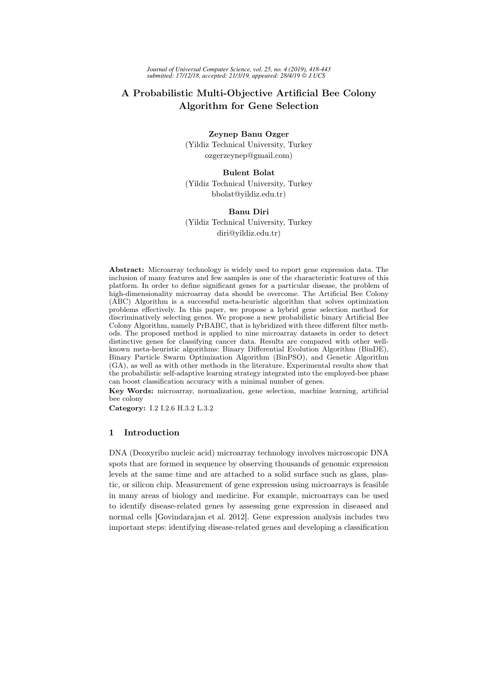# A Probabilistic Multi-Objective Artificial Bee Colony Algorithm for Gene Selection

Zeynep Banu Ozger (Yildiz Technical University, Turkey ozgerzeynep@gmail.com)

### Bulent Bolat

(Yildiz Technical University, Turkey bbolat@yildiz.edu.tr)

### Banu Diri

(Yildiz Technical University, Turkey diri@yildiz.edu.tr)

Abstract: Microarray technology is widely used to report gene expression data. The inclusion of many features and few samples is one of the characteristic features of this platform. In order to define significant genes for a particular disease, the problem of high-dimensionality microarray data should be overcome. The Artificial Bee Colony (ABC) Algorithm is a successful meta-heuristic algorithm that solves optimization problems effectively. In this paper, we propose a hybrid gene selection method for discriminatively selecting genes. We propose a new probabilistic binary Artificial Bee Colony Algorithm, namely PrBABC, that is hybridized with three different filter methods. The proposed method is applied to nine microarray datasets in order to detect distinctive genes for classifying cancer data. Results are compared with other wellknown meta-heuristic algorithms: Binary Differential Evolution Algorithm (BinDE), Binary Particle Swarm Optimization Algorithm (BinPSO), and Genetic Algorithm (GA), as well as with other methods in the literature. Experimental results show that the probabilistic self-adaptive learning strategy integrated into the employed-bee phase can boost classification accuracy with a minimal number of genes.

Key Words: microarray, normalization, gene selection, machine learning, artificial bee colony

Category: I.2 I.2.6 H.3.2 L.3.2

# 1 Introduction

DNA (Deoxyribo nucleic acid) microarray technology involves microscopic DNA spots that are formed in sequence by observing thousands of genomic expression levels at the same time and are attached to a solid surface such as glass, plastic, or silicon chip. Measurement of gene expression using microarrays is feasible in many areas of biology and medicine. For example, microarrays can be used to identify disease-related genes by assessing gene expression in diseased and normal cells [Govindarajan et al. 2012]. Gene expression analysis includes two important steps: identifying disease-related genes and developing a classification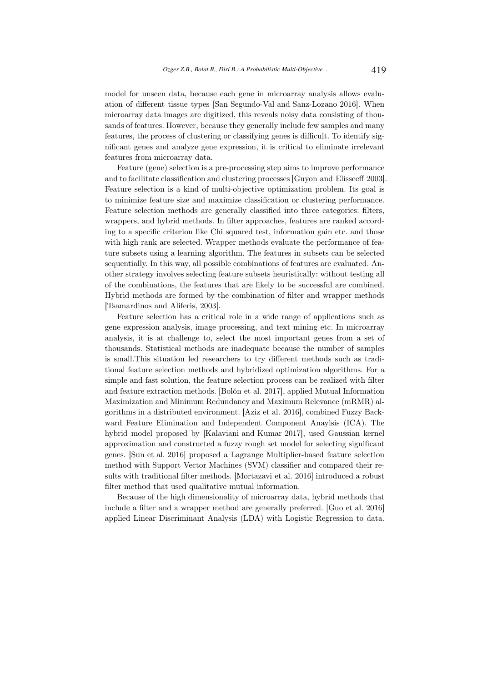model for unseen data, because each gene in microarray analysis allows evaluation of different tissue types [San Segundo-Val and Sanz-Lozano 2016]. When microarray data images are digitized, this reveals noisy data consisting of thousands of features. However, because they generally include few samples and many features, the process of clustering or classifying genes is difficult. To identify significant genes and analyze gene expression, it is critical to eliminate irrelevant features from microarray data.

Feature (gene) selection is a pre-processing step aims to improve performance and to facilitate classification and clustering processes [Guyon and Elisseeff 2003]. Feature selection is a kind of multi-objective optimization problem. Its goal is to minimize feature size and maximize classification or clustering performance. Feature selection methods are generally classified into three categories: filters, wrappers, and hybrid methods. In filter approaches, features are ranked according to a specific criterion like Chi squared test, information gain etc. and those with high rank are selected. Wrapper methods evaluate the performance of feature subsets using a learning algorithm. The features in subsets can be selected sequentially. In this way, all possible combinations of features are evaluated. Another strategy involves selecting feature subsets heuristically: without testing all of the combinations, the features that are likely to be successful are combined. Hybrid methods are formed by the combination of filter and wrapper methods [Tsamardinos and Aliferis, 2003].

Feature selection has a critical role in a wide range of applications such as gene expression analysis, image processing, and text mining etc. In microarray analysis, it is at challenge to, select the most important genes from a set of thousands. Statistical methods are inadequate because the number of samples is small.This situation led researchers to try different methods such as traditional feature selection methods and hybridized optimization algorithms. For a simple and fast solution, the feature selection process can be realized with filter and feature extraction methods. [Bolón et al. 2017], applied Mutual Information Maximization and Minimum Redundancy and Maximum Relevance (mRMR) algorithms in a distributed environment. [Aziz et al. 2016], combined Fuzzy Backward Feature Elimination and Independent Component Anaylsis (ICA). The hybrid model proposed by [Kalaviani and Kumar 2017], used Gaussian kernel approximation and constructed a fuzzy rough set model for selecting significant genes. [Sun et al. 2016] proposed a Lagrange Multiplier-based feature selection method with Support Vector Machines (SVM) classifier and compared their results with traditional filter methods. [Mortazavi et al. 2016] introduced a robust filter method that used qualitative mutual information.

Because of the high dimensionality of microarray data, hybrid methods that include a filter and a wrapper method are generally preferred. [Guo et al. 2016] applied Linear Discriminant Analysis (LDA) with Logistic Regression to data.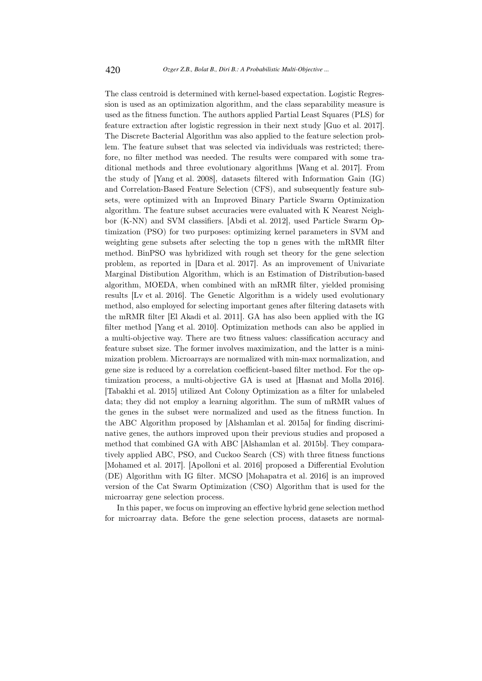The class centroid is determined with kernel-based expectation. Logistic Regression is used as an optimization algorithm, and the class separability measure is used as the fitness function. The authors applied Partial Least Squares (PLS) for feature extraction after logistic regression in their next study [Guo et al. 2017]. The Discrete Bacterial Algorithm was also applied to the feature selection problem. The feature subset that was selected via individuals was restricted; therefore, no filter method was needed. The results were compared with some traditional methods and three evolutionary algorithms [Wang et al. 2017]. From the study of [Yang et al. 2008], datasets filtered with Information Gain (IG) and Correlation-Based Feature Selection (CFS), and subsequently feature subsets, were optimized with an Improved Binary Particle Swarm Optimization algorithm. The feature subset accuracies were evaluated with K Nearest Neighbor (K-NN) and SVM classifiers. [Abdi et al. 2012], used Particle Swarm Optimization (PSO) for two purposes: optimizing kernel parameters in SVM and weighting gene subsets after selecting the top n genes with the mRMR filter method. BinPSO was hybridized with rough set theory for the gene selection problem, as reported in [Dara et al. 2017]. As an improvement of Univariate Marginal Distibution Algorithm, which is an Estimation of Distribution-based algorithm, MOEDA, when combined with an mRMR filter, yielded promising results [Lv et al. 2016]. The Genetic Algorithm is a widely used evolutionary method, also employed for selecting important genes after filtering datasets with the mRMR filter [El Akadi et al. 2011]. GA has also been applied with the IG filter method [Yang et al. 2010]. Optimization methods can also be applied in a multi-objective way. There are two fitness values: classification accuracy and feature subset size. The former involves maximization, and the latter is a minimization problem. Microarrays are normalized with min-max normalization, and gene size is reduced by a correlation coefficient-based filter method. For the optimization process, a multi-objective GA is used at [Hasnat and Molla 2016]. [Tabakhi et al. 2015] utilized Ant Colony Optimization as a filter for unlabeled data; they did not employ a learning algorithm. The sum of mRMR values of the genes in the subset were normalized and used as the fitness function. In the ABC Algorithm proposed by [Alshamlan et al. 2015a] for finding discriminative genes, the authors improved upon their previous studies and proposed a method that combined GA with ABC [Alshamlan et al. 2015b]. They comparatively applied ABC, PSO, and Cuckoo Search (CS) with three fitness functions [Mohamed et al. 2017]. [Apolloni et al. 2016] proposed a Differential Evolution (DE) Algorithm with IG filter. MCSO [Mohapatra et al. 2016] is an improved version of the Cat Swarm Optimization (CSO) Algorithm that is used for the microarray gene selection process.

In this paper, we focus on improving an effective hybrid gene selection method for microarray data. Before the gene selection process, datasets are normal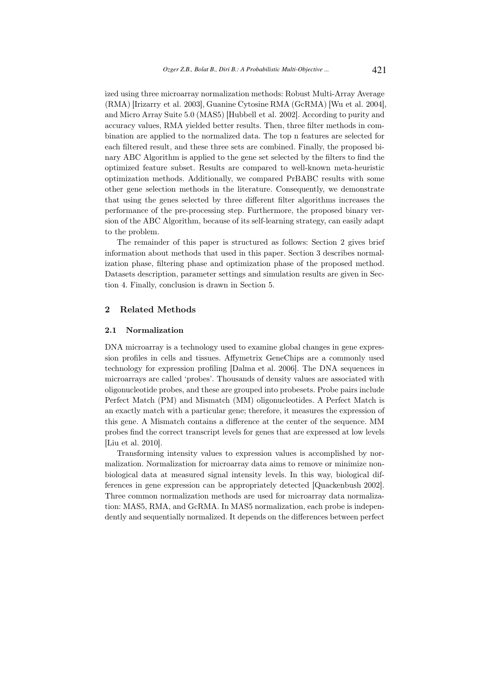ized using three microarray normalization methods: Robust Multi-Array Average (RMA) [Irizarry et al. 2003], Guanine Cytosine RMA (GcRMA) [Wu et al. 2004], and Micro Array Suite 5.0 (MAS5) [Hubbell et al. 2002]. According to purity and accuracy values, RMA yielded better results. Then, three filter methods in combination are applied to the normalized data. The top n features are selected for each filtered result, and these three sets are combined. Finally, the proposed binary ABC Algorithm is applied to the gene set selected by the filters to find the optimized feature subset. Results are compared to well-known meta-heuristic optimization methods. Additionally, we compared PrBABC results with some other gene selection methods in the literature. Consequently, we demonstrate that using the genes selected by three different filter algorithms increases the performance of the pre-processing step. Furthermore, the proposed binary version of the ABC Algorithm, because of its self-learning strategy, can easily adapt to the problem.

The remainder of this paper is structured as follows: Section 2 gives brief information about methods that used in this paper. Section 3 describes normalization phase, filtering phase and optimization phase of the proposed method. Datasets description, parameter settings and simulation results are given in Section 4. Finally, conclusion is drawn in Section 5.

## 2 Related Methods

#### 2.1 Normalization

DNA microarray is a technology used to examine global changes in gene expression profiles in cells and tissues. Affymetrix GeneChips are a commonly used technology for expression profiling [Dalma et al. 2006]. The DNA sequences in microarrays are called 'probes'. Thousands of density values are associated with oligonucleotide probes, and these are grouped into probesets. Probe pairs include Perfect Match (PM) and Mismatch (MM) oligonucleotides. A Perfect Match is an exactly match with a particular gene; therefore, it measures the expression of this gene. A Mismatch contains a difference at the center of the sequence. MM probes find the correct transcript levels for genes that are expressed at low levels [Liu et al. 2010].

Transforming intensity values to expression values is accomplished by normalization. Normalization for microarray data aims to remove or minimize nonbiological data at measured signal intensity levels. In this way, biological differences in gene expression can be appropriately detected [Quackenbush 2002]. Three common normalization methods are used for microarray data normalization: MAS5, RMA, and GcRMA. In MAS5 normalization, each probe is independently and sequentially normalized. It depends on the differences between perfect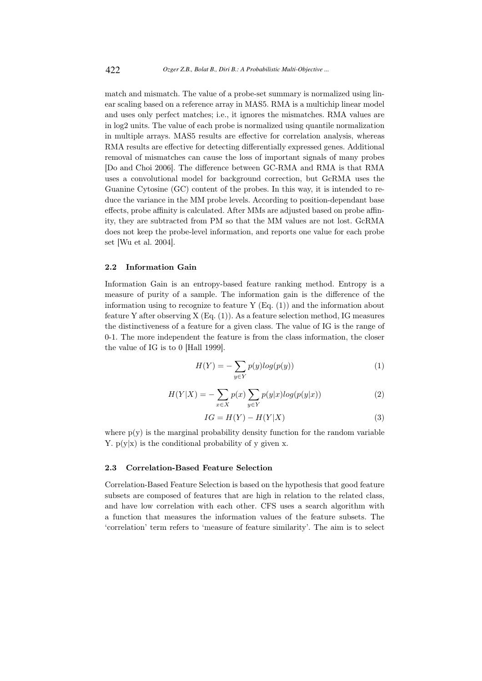match and mismatch. The value of a probe-set summary is normalized using linear scaling based on a reference array in MAS5. RMA is a multichip linear model and uses only perfect matches; i.e., it ignores the mismatches. RMA values are in log2 units. The value of each probe is normalized using quantile normalization in multiple arrays. MAS5 results are effective for correlation analysis, whereas RMA results are effective for detecting differentially expressed genes. Additional removal of mismatches can cause the loss of important signals of many probes [Do and Choi 2006]. The difference between GC-RMA and RMA is that RMA uses a convolutional model for background correction, but GcRMA uses the Guanine Cytosine (GC) content of the probes. In this way, it is intended to reduce the variance in the MM probe levels. According to position-dependant base effects, probe affinity is calculated. After MMs are adjusted based on probe affinity, they are subtracted from PM so that the MM values are not lost. GcRMA does not keep the probe-level information, and reports one value for each probe set [Wu et al. 2004].

#### 2.2 Information Gain

Information Gain is an entropy-based feature ranking method. Entropy is a measure of purity of a sample. The information gain is the difference of the information using to recognize to feature Y (Eq. (1)) and the information about feature Y after observing  $X(Eq. (1))$ . As a feature selection method, IG measures the distinctiveness of a feature for a given class. The value of IG is the range of 0-1. The more independent the feature is from the class information, the closer the value of IG is to 0 [Hall 1999].

$$
H(Y) = -\sum_{y \in Y} p(y) \log(p(y))\tag{1}
$$

$$
H(Y|X) = -\sum_{x \in X} p(x) \sum_{y \in Y} p(y|x) \log(p(y|x)) \tag{2}
$$

$$
IG = H(Y) - H(Y|X)
$$
\n(3)

where  $p(y)$  is the marginal probability density function for the random variable Y.  $p(y|x)$  is the conditional probability of y given x.

### 2.3 Correlation-Based Feature Selection

Correlation-Based Feature Selection is based on the hypothesis that good feature subsets are composed of features that are high in relation to the related class, and have low correlation with each other. CFS uses a search algorithm with a function that measures the information values of the feature subsets. The 'correlation' term refers to 'measure of feature similarity'. The aim is to select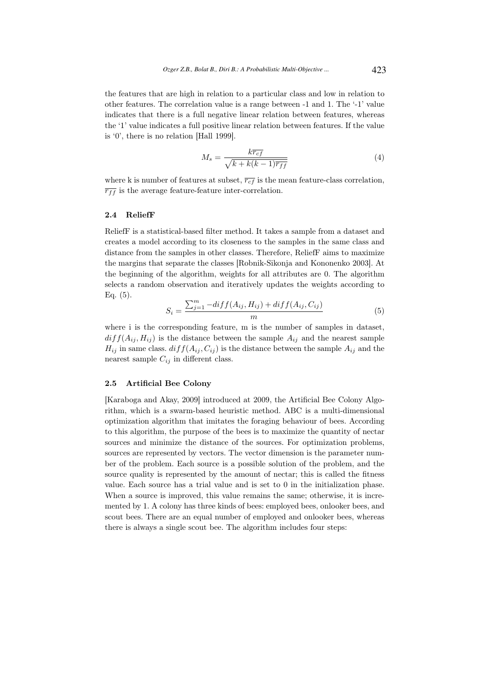the features that are high in relation to a particular class and low in relation to other features. The correlation value is a range between -1 and 1. The '-1' value indicates that there is a full negative linear relation between features, whereas the '1' value indicates a full positive linear relation between features. If the value is '0', there is no relation [Hall 1999].

$$
M_s = \frac{k\overline{r_{cf}}}{\sqrt{k + k(k-1)\overline{r_{ff}}}}
$$
(4)

where k is number of features at subset,  $\overline{r_{cf}}$  is the mean feature-class correlation,  $\overline{r_{ff}}$  is the average feature-feature inter-correlation.

#### 2.4 ReliefF

ReliefF is a statistical-based filter method. It takes a sample from a dataset and creates a model according to its closeness to the samples in the same class and distance from the samples in other classes. Therefore, ReliefF aims to maximize the margins that separate the classes [Robnik-Sikonja and Kononenko 2003]. At the beginning of the algorithm, weights for all attributes are 0. The algorithm selects a random observation and iteratively updates the weights according to Eq. (5).

$$
S_i = \frac{\sum_{j=1}^{m} -diff(A_{ij}, H_{ij}) + diff(A_{ij}, C_{ij})}{m}
$$
(5)

where i is the corresponding feature, m is the number of samples in dataset,  $diff(A_{ij}, H_{ij})$  is the distance between the sample  $A_{ij}$  and the nearest sample  $H_{ij}$  in same class.  $diff(A_{ij}, C_{ij})$  is the distance between the sample  $A_{ij}$  and the nearest sample  $C_{ij}$  in different class.

#### 2.5 Artificial Bee Colony

[Karaboga and Akay, 2009] introduced at 2009, the Artificial Bee Colony Algorithm, which is a swarm-based heuristic method. ABC is a multi-dimensional optimization algorithm that imitates the foraging behaviour of bees. According to this algorithm, the purpose of the bees is to maximize the quantity of nectar sources and minimize the distance of the sources. For optimization problems, sources are represented by vectors. The vector dimension is the parameter number of the problem. Each source is a possible solution of the problem, and the source quality is represented by the amount of nectar; this is called the fitness value. Each source has a trial value and is set to 0 in the initialization phase. When a source is improved, this value remains the same; otherwise, it is incremented by 1. A colony has three kinds of bees: employed bees, onlooker bees, and scout bees. There are an equal number of employed and onlooker bees, whereas there is always a single scout bee. The algorithm includes four steps: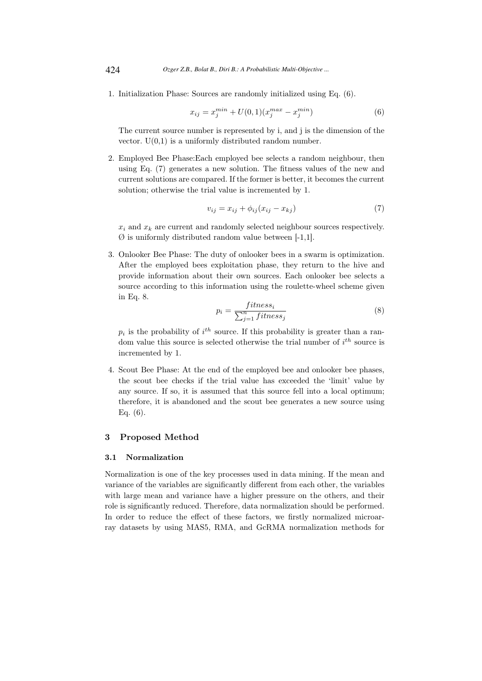1. Initialization Phase: Sources are randomly initialized using Eq. (6).

$$
x_{ij} = x_j^{min} + U(0,1)(x_j^{max} - x_j^{min})
$$
 (6)

The current source number is represented by i, and j is the dimension of the vector.  $U(0,1)$  is a uniformly distributed random number.

2. Employed Bee Phase:Each employed bee selects a random neighbour, then using Eq. (7) generates a new solution. The fitness values of the new and current solutions are compared. If the former is better, it becomes the current solution; otherwise the trial value is incremented by 1.

$$
v_{ij} = x_{ij} + \phi_{ij}(x_{ij} - x_{kj})
$$
\n<sup>(7)</sup>

 $x_i$  and  $x_k$  are current and randomly selected neighbour sources respectively.  $\varnothing$  is uniformly distributed random value between [-1,1].

3. Onlooker Bee Phase: The duty of onlooker bees in a swarm is optimization. After the employed bees exploitation phase, they return to the hive and provide information about their own sources. Each onlooker bee selects a source according to this information using the roulette-wheel scheme given in Eq. 8.

$$
p_i = \frac{fitness_i}{\sum_{j=1}^{n} fitness_j}
$$
 (8)

 $p_i$  is the probability of  $i^{th}$  source. If this probability is greater than a random value this source is selected otherwise the trial number of  $i^{th}$  source is incremented by 1.

4. Scout Bee Phase: At the end of the employed bee and onlooker bee phases, the scout bee checks if the trial value has exceeded the 'limit' value by any source. If so, it is assumed that this source fell into a local optimum; therefore, it is abandoned and the scout bee generates a new source using Eq. (6).

# 3 Proposed Method

#### 3.1 Normalization

Normalization is one of the key processes used in data mining. If the mean and variance of the variables are significantly different from each other, the variables with large mean and variance have a higher pressure on the others, and their role is significantly reduced. Therefore, data normalization should be performed. In order to reduce the effect of these factors, we firstly normalized microarray datasets by using MAS5, RMA, and GcRMA normalization methods for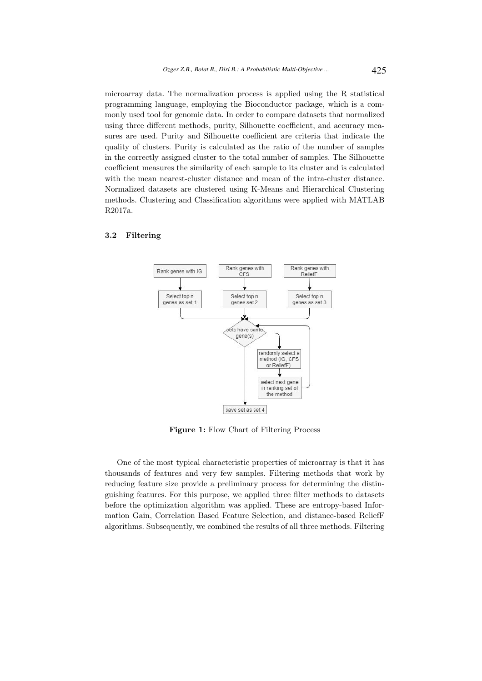microarray data. The normalization process is applied using the R statistical programming language, employing the Bioconductor package, which is a commonly used tool for genomic data. In order to compare datasets that normalized using three different methods, purity, Silhouette coefficient, and accuracy measures are used. Purity and Silhouette coefficient are criteria that indicate the quality of clusters. Purity is calculated as the ratio of the number of samples in the correctly assigned cluster to the total number of samples. The Silhouette coefficient measures the similarity of each sample to its cluster and is calculated with the mean nearest-cluster distance and mean of the intra-cluster distance. Normalized datasets are clustered using K-Means and Hierarchical Clustering methods. Clustering and Classification algorithms were applied with MATLAB R2017a.

### 3.2 Filtering



Figure 1: Flow Chart of Filtering Process

One of the most typical characteristic properties of microarray is that it has thousands of features and very few samples. Filtering methods that work by reducing feature size provide a preliminary process for determining the distinguishing features. For this purpose, we applied three filter methods to datasets before the optimization algorithm was applied. These are entropy-based Information Gain, Correlation Based Feature Selection, and distance-based ReliefF algorithms. Subsequently, we combined the results of all three methods. Filtering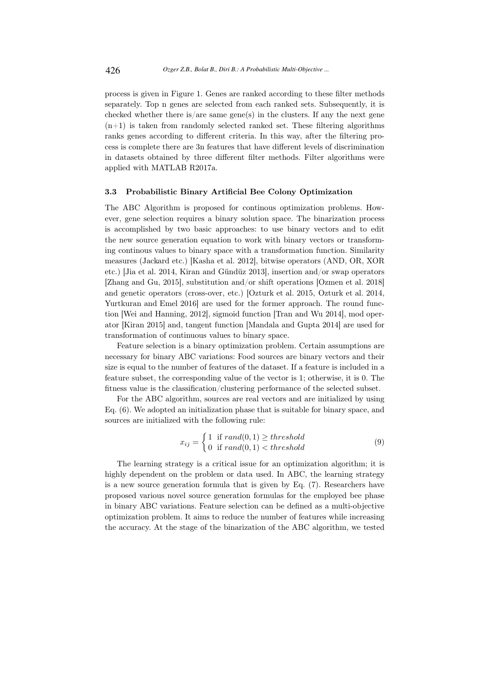process is given in Figure 1. Genes are ranked according to these filter methods separately. Top n genes are selected from each ranked sets. Subsequently, it is checked whether there is/are same gene(s) in the clusters. If any the next gene  $(n+1)$  is taken from randomly selected ranked set. These filtering algorithms ranks genes according to different criteria. In this way, after the filtering process is complete there are 3n features that have different levels of discrimination in datasets obtained by three different filter methods. Filter algorithms were applied with MATLAB R2017a.

#### 3.3 Probabilistic Binary Artificial Bee Colony Optimization

The ABC Algorithm is proposed for continous optimization problems. However, gene selection requires a binary solution space. The binarization process is accomplished by two basic approaches: to use binary vectors and to edit the new source generation equation to work with binary vectors or transforming continous values to binary space with a transformation function. Similarity measures (Jackard etc.) [Kasha et al. 2012], bitwise operators (AND, OR, XOR etc.) [Jia et al. 2014, Kiran and Gündüz 2013], insertion and/or swap operators [Zhang and Gu, 2015], substitution and/or shift operations [Ozmen et al. 2018] and genetic operators (cross-over, etc.) [Ozturk et al. 2015, Ozturk et al. 2014, Yurtkuran and Emel 2016] are used for the former approach. The round function [Wei and Hanning, 2012], sigmoid function [Tran and Wu 2014], mod operator [Kiran 2015] and, tangent function [Mandala and Gupta 2014] are used for transformation of continuous values to binary space.

Feature selection is a binary optimization problem. Certain assumptions are necessary for binary ABC variations: Food sources are binary vectors and their size is equal to the number of features of the dataset. If a feature is included in a feature subset, the corresponding value of the vector is 1; otherwise, it is 0. The fitness value is the classification/clustering performance of the selected subset.

For the ABC algorithm, sources are real vectors and are initialized by using Eq. (6). We adopted an initialization phase that is suitable for binary space, and sources are initialized with the following rule:

$$
x_{ij} = \begin{cases} 1 & \text{if } rand(0,1) \ge threshold \\ 0 & \text{if } rand(0,1) < threshold \end{cases}
$$
 (9)

The learning strategy is a critical issue for an optimization algorithm; it is highly dependent on the problem or data used. In ABC, the learning strategy is a new source generation formula that is given by Eq. (7). Researchers have proposed various novel source generation formulas for the employed bee phase in binary ABC variations. Feature selection can be defined as a multi-objective optimization problem. It aims to reduce the number of features while increasing the accuracy. At the stage of the binarization of the ABC algorithm, we tested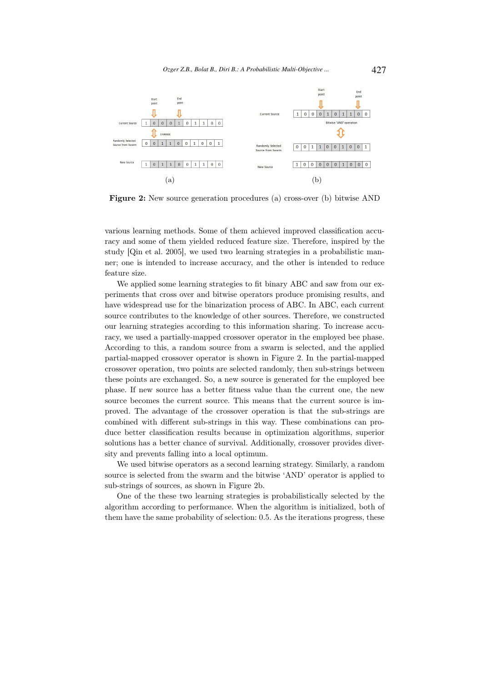

Figure 2: New source generation procedures (a) cross-over (b) bitwise AND

various learning methods. Some of them achieved improved classification accuracy and some of them yielded reduced feature size. Therefore, inspired by the study [Qin et al. 2005], we used two learning strategies in a probabilistic manner; one is intended to increase accuracy, and the other is intended to reduce feature size.

We applied some learning strategies to fit binary ABC and saw from our experiments that cross over and bitwise operators produce promising results, and have widespread use for the binarization process of ABC. In ABC, each current source contributes to the knowledge of other sources. Therefore, we constructed our learning strategies according to this information sharing. To increase accuracy, we used a partially-mapped crossover operator in the employed bee phase. According to this, a random source from a swarm is selected, and the applied partial-mapped crossover operator is shown in Figure 2. In the partial-mapped crossover operation, two points are selected randomly, then sub-strings between these points are exchanged. So, a new source is generated for the employed bee phase. If new source has a better fitness value than the current one, the new source becomes the current source. This means that the current source is improved. The advantage of the crossover operation is that the sub-strings are combined with different sub-strings in this way. These combinations can produce better classification results because in optimization algorithms, superior solutions has a better chance of survival. Additionally, crossover provides diversity and prevents falling into a local optimum.

We used bitwise operators as a second learning strategy. Similarly, a random source is selected from the swarm and the bitwise 'AND' operator is applied to sub-strings of sources, as shown in Figure 2b.

One of the these two learning strategies is probabilistically selected by the algorithm according to performance. When the algorithm is initialized, both of them have the same probability of selection: 0.5. As the iterations progress, these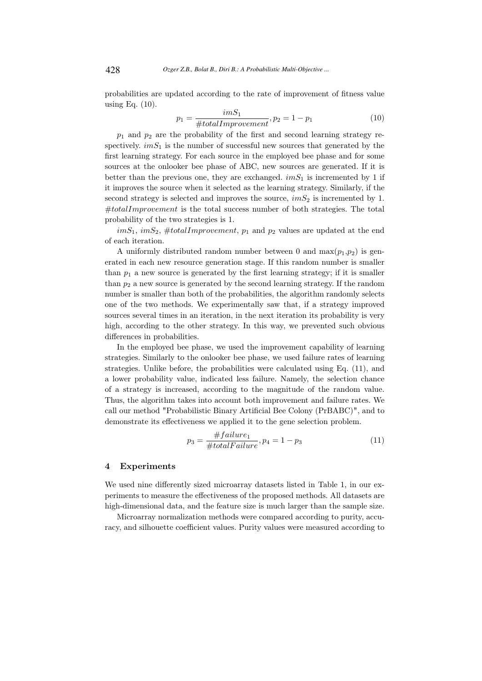probabilities are updated according to the rate of improvement of fitness value using Eq. (10).

$$
p_1 = \frac{imS_1}{\# totalImprovement}, p_2 = 1 - p_1 \tag{10}
$$

 $p_1$  and  $p_2$  are the probability of the first and second learning strategy respectively.  $imS_1$  is the number of successful new sources that generated by the first learning strategy. For each source in the employed bee phase and for some sources at the onlooker bee phase of ABC, new sources are generated. If it is better than the previous one, they are exchanged.  $imS_1$  is incremented by 1 if it improves the source when it selected as the learning strategy. Similarly, if the second strategy is selected and improves the source,  $imS_2$  is incremented by 1.  $#totalImprovement$  is the total success number of both strategies. The total probability of the two strategies is 1.

 $imS_1$ ,  $imS_2$ ,  $#totalImprovement$ ,  $p_1$  and  $p_2$  values are updated at the end of each iteration.

A uniformly distributed random number between 0 and  $max(p_1,p_2)$  is generated in each new resource generation stage. If this random number is smaller than  $p_1$  a new source is generated by the first learning strategy; if it is smaller than  $p_2$  a new source is generated by the second learning strategy. If the random number is smaller than both of the probabilities, the algorithm randomly selects one of the two methods. We experimentally saw that, if a strategy improved sources several times in an iteration, in the next iteration its probability is very high, according to the other strategy. In this way, we prevented such obvious differences in probabilities.

In the employed bee phase, we used the improvement capability of learning strategies. Similarly to the onlooker bee phase, we used failure rates of learning strategies. Unlike before, the probabilities were calculated using Eq. (11), and a lower probability value, indicated less failure. Namely, the selection chance of a strategy is increased, according to the magnitude of the random value. Thus, the algorithm takes into account both improvement and failure rates. We call our method "Probabilistic Binary Artificial Bee Colony (PrBABC)", and to demonstrate its effectiveness we applied it to the gene selection problem.

$$
p_3 = \frac{\#failure_1}{\#totalFailure}, p_4 = 1 - p_3 \tag{11}
$$

#### 4 Experiments

We used nine differently sized microarray datasets listed in Table 1, in our experiments to measure the effectiveness of the proposed methods. All datasets are high-dimensional data, and the feature size is much larger than the sample size.

Microarray normalization methods were compared according to purity, accuracy, and silhouette coefficient values. Purity values were measured according to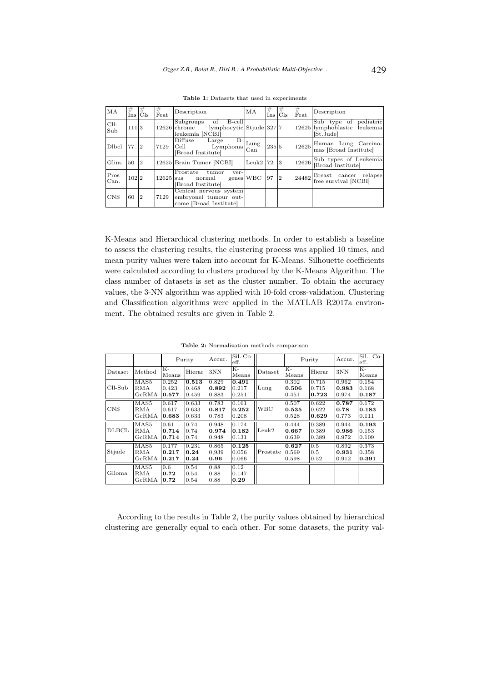| MA            | #<br>Ins | #<br>Cls       | #<br>Feat | Description                                                                            | MA                   | #<br>Ins | #<br>$_{\text{Cls}}$ | #<br>Feat | Description                                                        |
|---------------|----------|----------------|-----------|----------------------------------------------------------------------------------------|----------------------|----------|----------------------|-----------|--------------------------------------------------------------------|
| $ClI-$<br>Sub | 111 3    |                |           | of<br>Subgroups<br>B-cell<br>12626 chronic lymphocytic Stjude 327 7<br>leukemia [NCBI] |                      |          |                      |           | Sub type of pediatric<br>12625 lymphoblastic leukemia<br>[St.Jude] |
| Dlbcl         | 77       | 2              | 7129      | $B-$<br>Diffuse<br>Large<br>$\frac{L}{\text{Lymphoma}}$<br> Cell =<br>Broad Institutel | Lung                 | 235 5    |                      | 12625     | Human Lung Carcino-<br>mas [Broad Institute]                       |
| Glim.         | 150      | $ 2\rangle$    |           | 12625 Brain Tumor [NCBI]                                                               | Leuk2 <sup>172</sup> |          | 3                    | 12626     | Sub types of Leukemia<br>[Broad Institute]                         |
| Pros<br>Can.  | 102 2    |                |           | Prostate<br>tumor<br>ver-<br>genes WBC<br>$12625$ sus normal<br>[Broad Institute]      |                      | 97       | $\overline{2}$       | 24482     | Breast cancer relapse<br>free survival [NCBI]                      |
| <b>CNS</b>    | 60       | $\overline{2}$ | 7129      | Central nervous system<br>embryonel tumour out-<br>come [Broad Institute]              |                      |          |                      |           |                                                                    |

Table 1: Datasets that used in experiments

K-Means and Hierarchical clustering methods. In order to establish a baseline to assess the clustering results, the clustering process was applied 10 times, and mean purity values were taken into account for K-Means. Silhouette coefficients were calculated according to clusters produced by the K-Means Algorithm. The class number of datasets is set as the cluster number. To obtain the accuracy values, the 3-NN algorithm was applied with 10-fold cross-validation. Clustering and Classification algorithms were applied in the MATLAB R2017a environment. The obtained results are given in Table 2.

|            |                  | Purity        |        | Accur. | Sil. Co-<br>eff. |            |               | Purity |       | $Co-$<br>Sil.<br>eff. |
|------------|------------------|---------------|--------|--------|------------------|------------|---------------|--------|-------|-----------------------|
| Dataset    | Method           | $K-$<br>Means | Hierar | 3NN    | K-<br>Means      | Dataset    | $K-$<br>Means | Hierar | 3NN   | K-<br>Means           |
|            | MAS5             | 0.252         | 0.513  | 0.829  | 0.491            |            | 0.302         | 0.715  | 0.962 | 0.154                 |
| $ClI-Sub$  | RMA              | 0.423         | 0.468  | 0.892  | 0.217            | Lung       | 0.506         | 0.715  | 0.983 | 0.168                 |
|            | GcRNA            | 0.577         | 0.459  | 0.883  | 0.251            |            | 0.451         | 0.723  | 0.974 | 0.187                 |
|            | MAS5             | 0.617         | 0.633  | 0.783  | 0.161            |            | 0.507         | 0.622  | 0.787 | 0.172                 |
| <b>CNS</b> | RMA              | 0.617         | 0.633  | 0.817  | 0.252            | <b>WBC</b> | 0.535         | 0.622  | 0.78  | 0.183                 |
|            | GcRMA            | 0.683         | 0.633  | 0.783  | 0.208            |            | 0.528         | 0.629  | 0.773 | 0.111                 |
|            | MAS5             | 0.61          | 0.74   | 0.948  | 0.174            |            | 0.444         | 0.389  | 0.944 | 0.193                 |
| DLBCL      | RMA              | 0.714         | 0.74   | 0.974  | 0.182            | Leuk2      | 0.667         | 0.389  | 0.986 | 0.153                 |
|            | GcRNA            | 0.714         | 0.74   | 0.948  | 0.131            |            | 0.639         | 0.389  | 0.972 | 0.109                 |
|            | MAS <sub>5</sub> | 0.177         | 0.231  | 0.865  | 0.125            |            | 0.627         | 0.5    | 0.892 | 0.373                 |
| Stjude     | RMA              | 0.217         | 0.24   | 0.939  | 0.056            | Prostate   | 0.569         | 0.5    | 0.931 | 0.358                 |
|            | GcRNA            | 0.217         | 0.24   | 0.96   | 0.066            |            | 0.598         | 0.52   | 0.912 | 0.391                 |
|            | MAS <sub>5</sub> | 0.6           | 0.54   | 0.88   | 0.12             |            |               |        |       |                       |
| Glioma     | <b>RMA</b>       | 0.72          | 0.54   | 0.88   | 0.147            |            |               |        |       |                       |
|            | GcRMA            | 0.72          | 0.54   | 0.88   | 0.29             |            |               |        |       |                       |

Table 2: Normalization methods comparison

According to the results in Table 2, the purity values obtained by hierarchical clustering are generally equal to each other. For some datasets, the purity val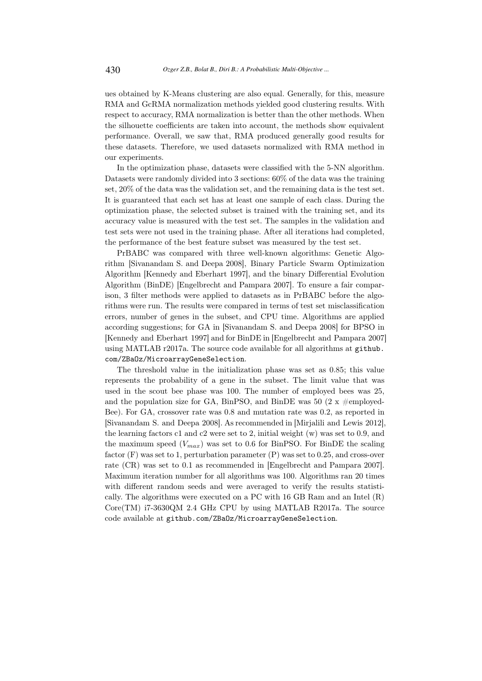ues obtained by K-Means clustering are also equal. Generally, for this, measure RMA and GcRMA normalization methods yielded good clustering results. With respect to accuracy, RMA normalization is better than the other methods. When the silhouette coefficients are taken into account, the methods show equivalent performance. Overall, we saw that, RMA produced generally good results for these datasets. Therefore, we used datasets normalized with RMA method in our experiments.

In the optimization phase, datasets were classified with the 5-NN algorithm. Datasets were randomly divided into 3 sections: 60% of the data was the training set, 20% of the data was the validation set, and the remaining data is the test set. It is guaranteed that each set has at least one sample of each class. During the optimization phase, the selected subset is trained with the training set, and its accuracy value is measured with the test set. The samples in the validation and test sets were not used in the training phase. After all iterations had completed, the performance of the best feature subset was measured by the test set.

PrBABC was compared with three well-known algorithms: Genetic Algorithm [Sivanandam S. and Deepa 2008], Binary Particle Swarm Optimization Algorithm [Kennedy and Eberhart 1997], and the binary Differential Evolution Algorithm (BinDE) [Engelbrecht and Pampara 2007]. To ensure a fair comparison, 3 filter methods were applied to datasets as in PrBABC before the algorithms were run. The results were compared in terms of test set misclassification errors, number of genes in the subset, and CPU time. Algorithms are applied according suggestions; for GA in [Sivanandam S. and Deepa 2008] for BPSO in [Kennedy and Eberhart 1997] and for BinDE in [Engelbrecht and Pampara 2007] using MATLAB r2017a. The source code available for all algorithms at github. com/ZBaOz/MicroarrayGeneSelection.

The threshold value in the initialization phase was set as 0.85; this value represents the probability of a gene in the subset. The limit value that was used in the scout bee phase was 100. The number of employed bees was 25, and the population size for GA, BinPSO, and BinDE was 50 (2 x  $\#$ employed-Bee). For GA, crossover rate was 0.8 and mutation rate was 0.2, as reported in [Sivanandam S. and Deepa 2008]. As recommended in [Mirjalili and Lewis 2012], the learning factors c1 and c2 were set to 2, initial weight (w) was set to 0.9, and the maximum speed  $(V_{max})$  was set to 0.6 for BinPSO. For BinDE the scaling factor (F) was set to 1, perturbation parameter (P) was set to 0.25, and cross-over rate (CR) was set to 0.1 as recommended in [Engelbrecht and Pampara 2007]. Maximum iteration number for all algorithms was 100. Algorithms ran 20 times with different random seeds and were averaged to verify the results statistically. The algorithms were executed on a PC with 16 GB Ram and an Intel  $(R)$ Core(TM) i7-3630QM 2.4 GHz CPU by using MATLAB R2017a. The source code available at github.com/ZBaOz/MicroarrayGeneSelection.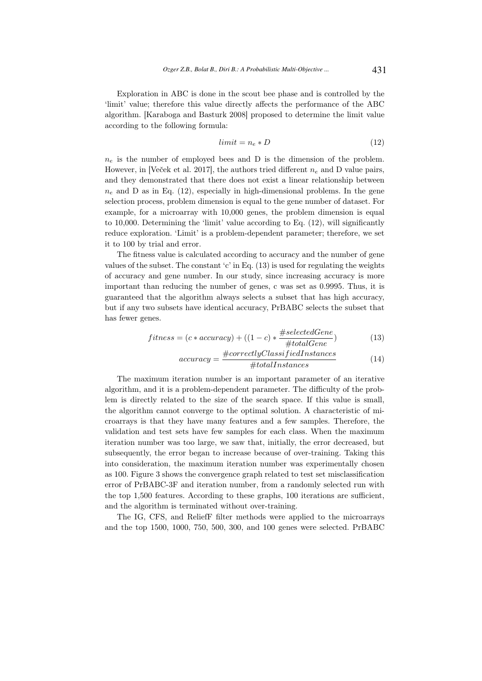Exploration in ABC is done in the scout bee phase and is controlled by the 'limit' value; therefore this value directly affects the performance of the ABC algorithm. [Karaboga and Basturk 2008] proposed to determine the limit value according to the following formula:

$$
limit = n_e * D \tag{12}
$$

 $n_e$  is the number of employed bees and D is the dimension of the problem. However, in [Veček et al. 2017], the authors tried different  $n_e$  and D value pairs, and they demonstrated that there does not exist a linear relationship between  $n_e$  and D as in Eq. (12), especially in high-dimensional problems. In the gene selection process, problem dimension is equal to the gene number of dataset. For example, for a microarray with 10,000 genes, the problem dimension is equal to 10,000. Determining the 'limit' value according to Eq. (12), will significantly reduce exploration. 'Limit' is a problem-dependent parameter; therefore, we set it to 100 by trial and error.

The fitness value is calculated according to accuracy and the number of gene values of the subset. The constant 'c' in Eq.  $(13)$  is used for regulating the weights of accuracy and gene number. In our study, since increasing accuracy is more important than reducing the number of genes, c was set as 0.9995. Thus, it is guaranteed that the algorithm always selects a subset that has high accuracy, but if any two subsets have identical accuracy, PrBABC selects the subset that has fewer genes.

$$
fitness = (c * accuracy) + ((1 - c) * \frac{\# selectedGene}{\# totalGene})
$$
\n(13)

$$
accuracy = \frac{\#correctlyClassifiedInstances}{\#totalInstances} \tag{14}
$$

The maximum iteration number is an important parameter of an iterative algorithm, and it is a problem-dependent parameter. The difficulty of the problem is directly related to the size of the search space. If this value is small, the algorithm cannot converge to the optimal solution. A characteristic of microarrays is that they have many features and a few samples. Therefore, the validation and test sets have few samples for each class. When the maximum iteration number was too large, we saw that, initially, the error decreased, but subsequently, the error began to increase because of over-training. Taking this into consideration, the maximum iteration number was experimentally chosen as 100. Figure 3 shows the convergence graph related to test set misclassification error of PrBABC-3F and iteration number, from a randomly selected run with the top 1,500 features. According to these graphs, 100 iterations are sufficient, and the algorithm is terminated without over-training.

The IG, CFS, and ReliefF filter methods were applied to the microarrays and the top 1500, 1000, 750, 500, 300, and 100 genes were selected. PrBABC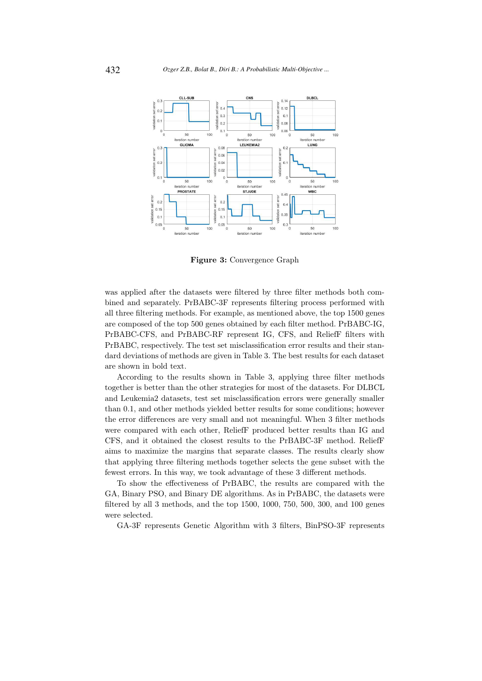

Figure 3: Convergence Graph

was applied after the datasets were filtered by three filter methods both combined and separately. PrBABC-3F represents filtering process performed with all three filtering methods. For example, as mentioned above, the top 1500 genes are composed of the top 500 genes obtained by each filter method. PrBABC-IG, PrBABC-CFS, and PrBABC-RF represent IG, CFS, and ReliefF filters with PrBABC, respectively. The test set misclassification error results and their standard deviations of methods are given in Table 3. The best results for each dataset are shown in bold text.

According to the results shown in Table 3, applying three filter methods together is better than the other strategies for most of the datasets. For DLBCL and Leukemia2 datasets, test set misclassification errors were generally smaller than 0.1, and other methods yielded better results for some conditions; however the error differences are very small and not meaningful. When 3 filter methods were compared with each other, ReliefF produced better results than IG and CFS, and it obtained the closest results to the PrBABC-3F method. ReliefF aims to maximize the margins that separate classes. The results clearly show that applying three filtering methods together selects the gene subset with the fewest errors. In this way, we took advantage of these 3 different methods.

To show the effectiveness of PrBABC, the results are compared with the GA, Binary PSO, and Binary DE algorithms. As in PrBABC, the datasets were filtered by all 3 methods, and the top 1500, 1000, 750, 500, 300, and 100 genes were selected.

GA-3F represents Genetic Algorithm with 3 filters, BinPSO-3F represents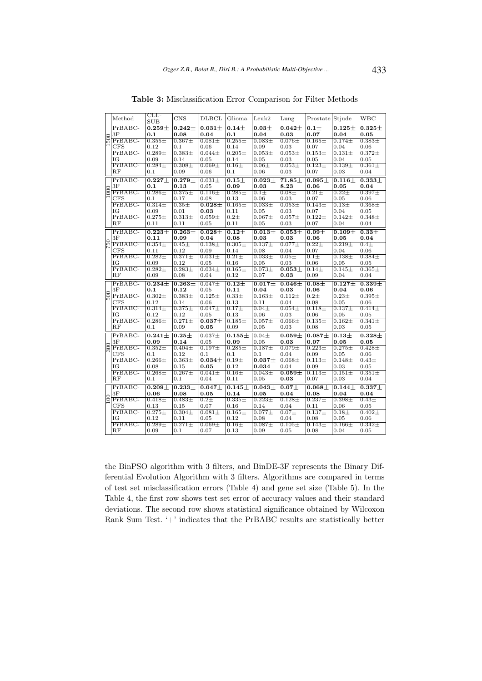|      | Method                 | $CLL-$<br><b>SUB</b>  | <b>CNS</b>         | <b>DLBCL</b>                  | Glioma                | Leuk2                 | Lung                          | Prostate Stjude    |                    | WBC                   |
|------|------------------------|-----------------------|--------------------|-------------------------------|-----------------------|-----------------------|-------------------------------|--------------------|--------------------|-----------------------|
|      | $PrBABC-$              | $0.259 +$             | $0.242+$           | $0.031 +$                     | $\overline{0.14} \pm$ | $0.03 +$              | $0.042 +$                     | $0.1 +$            | $0.125 +$          | $0.325\pm$            |
|      | 3F                     | 0.1                   | 0.08               | 0.04                          | 0.1                   | 0.04                  | 0.03                          | 0.07               | 0.04               | 0.05                  |
| 1500 | $PrBABC-$              | $0.355 \pm$           | $0.367 \pm$        | $0.081 \pm$                   | $0.255 \pm$           | $0.083 +$             | $0.076\pm$                    | $0.165\pm$         | $0.174\pm$         | $0.383 \pm$           |
|      | <b>CFS</b>             | 0.12                  | 0.1                | 0.06                          | 0.14                  | 0.09                  | 0.03                          | 0.07               | 0.04               | 0.06                  |
|      | $PrBABC-$              | $0.289 \pm$           | $0.383\pm$         | $0.044\pm$                    | $0.205 \pm$           | $0.053\pm$            | $0.053\pm$                    | $0.153\pm$         | $0.131\pm$         | $0.372 \pm$           |
|      | ΙG                     | 0.09                  | 0.14               | 0.05                          | 0.14                  | 0.05                  | 0.03                          | 0.05               | 0.04               | 0.05                  |
|      | $PrBABC-$              | $0.284\pm$            | $0.308\pm$         | $0.069\pm$                    | $0.16\pm$             | $0.06\pm$             | $0.053\pm$                    | $0.123\pm$         | $0.139\pm$         | $0.361 \pm$           |
|      | RF                     | 0.1                   | 0.09               | 0.06                          | 0.1                   | 0.06                  | 0.03                          | 0.07               | 0.03               | 0.04                  |
|      | PrBABC-                | $\overline{0.227\pm}$ | $0.279 +$          | $0.031 \pm$                   | $0.15+$               | $\overline{0.023\pm}$ | $71.85\pm$                    | $0.095 \pm$        | $0.116 +$          | $\overline{0.333\pm}$ |
|      | 3F                     | 0.1                   | 0.13               | 0.05                          | 0.09                  | $\bf{0.03}$           | 8.23                          | 0.06               | 0.05               | 0.04                  |
| 1000 | $PrBABC-$              | $0.286 \pm$           | $0.375 \pm$        | $0.116\pm$                    | $0.285 \pm$           | $0.1\pm$              | $0.08\pm$                     | $0.21 \pm$         | $0.22\pm$          | $0.397\pm$            |
|      | <b>CFS</b>             | 0.1                   | 0.17               | 0.08                          | 0.13                  | 0.06                  | 0.03                          | 0.07               | 0.05               | 0.06                  |
|      | $PrBABC-$              | $0.314\pm$            | $0.35 \pm$         | $0.028\pm$                    | $0.165\pm$            | $0.033\pm$            | $0.053\pm$                    | $0.143\pm$         | $0.13\pm$          | $0.368\pm$            |
|      | IG                     | 0.09                  | 0.01               | 0.03                          | 0.11                  | 0.05                  | 0.03                          | 0.07               | 0.04               | 0.05                  |
|      | PrBABC-                | $0.275 \pm$           | $0.313\pm$         | $0.059\pm$                    | $0.2\pm$              | $0.067\pm$            | $0.057\pm$                    | $0.122 +$          | $0.142\pm$         | $0.348\pm$            |
|      | RF                     | 0.11                  | 0.11               | 0.05                          | 0.11                  | $_{0.05}$             | 0.03                          | 0.07               | 0.04               | 0.04                  |
|      | PrBABC-                | $0.223 \pm$           | $0.263 +$          | $0.028\pm$                    | $0.12\pm$             | $0.013\pm$            | $0.053\pm$                    | $0.09\pm$          | $0.109 +$          | $0.33\pm$             |
|      | 3F                     | 0.11                  | 0.09               | 0.04                          | 0.08                  | 0.03                  | 0.03                          | 0.06               | 0.05               | 0.04                  |
| 750  | $PrBABC-$              | $0.354\pm$            | $0.45\pm$          | $0.138\pm$                    | $0.305\pm$            | $0.137\pm$            | $0.077 \pm$                   | $0.22 \pm$         | $0.219\pm$         | $0.4\pm$              |
|      | CFS                    | 0.11                  | 0.12               | 0.09                          | 0.14                  | 0.08                  | 0.04                          | 0.07               | 0.04               | 0.06                  |
|      | PrBABC-                | $0.282 +$             | $0.371 +$          | $0.031 +$                     | $0.21 \pm$            | $0.033\pm$            | $0.05\pm$                     | $0.1\pm$           | $0.138 +$          | $0.384 +$             |
|      | ΙG                     | 0.09<br>$0.282 +$     | 0.12<br>$0.283\pm$ | 0.05                          | 0.16                  | 0.05                  | 0.03                          | 0.06               | 0.05               | 0.05                  |
|      |                        |                       |                    | $0.034\pm$                    | $0.165 \pm$           | $0.073\pm$            | $\overline{0.053\pm}$         | $0.14\pm$          | $0.145\pm$         | $0.365 \pm$           |
|      | PrBABC-                |                       |                    |                               |                       |                       |                               |                    |                    |                       |
|      | $_{\rm RF}$            | 0.09                  | 0.08               | 0.04                          | 0.12                  | 0.07                  | 0.03                          | 0.09               | 0.04               | 0.04                  |
|      | PrBABC-                | $0.234 +$             | $0.263 +$          | $0.047\pm$                    | $0.12 +$              | $0.017 +$             | $0.046 +$                     | $0.08 +$           | $0.127 +$          | $0.339 +$             |
|      | 3F                     | 0.1                   | 0.12               | 0.05                          | 0.11                  | 0.04                  | 0.03                          | 0.06               | 0.04               | 0.06                  |
| 500  | PrBABC-                | $0.302 +$             | $0.383 +$          | $0.125 +$                     | $0.33\pm$             | $0.163 +$             | $0.112 +$                     | $0.2\pm$           | $0.23 \pm$         | $0.395 \pm$           |
|      | CFS                    | 0.12                  | 0.14               | 0.06                          | 0.13                  | 0.11                  | 0.04                          | 0.08               | 0.05               | 0.06                  |
|      | PrBABC-                | $0.314\pm$            | $0.375 \pm$        | $0.047\pm$                    | $0.17 +$              | $0.04\pm$             | $0.054\pm$                    | $0.118\pm$         | $0.137 +$          | $0.414\pm$            |
|      | IG                     | 0.12                  | 0.12               | 0.05                          | 0.13                  | 0.06                  | 0.03                          | 0.06               | 0.05               | 0.05                  |
|      | PrBABC-                | $0.286 \pm$           | $0.271 \pm$        | $0.037\pm$                    | $0.185 +$             | $0.057\pm$            | $0.066 \pm$                   | $0.135 \pm$        | $0.162 +$          | $0.341 \pm$           |
|      | RF                     | 0.1                   | 0.09               | 0.05                          | 0.09                  | 0.05                  | 0.03                          | 0.08               | 0.03               | 0.05                  |
|      | $PrBABC-$              | $0.241 +$             | $0.25 +$           | $0.037 +$                     | $0.155 +$             | $0.04\pm$             | $0.059 +$                     | $0.087 +$          | $0.13 +$           | $0.328 +$             |
|      | 3F                     | 0.09                  | 0.14               | 0.05                          | 0.09                  | 0.05                  | 0.03                          | 0.07               | 0.05               | 0.05                  |
| 300  | PrBABC-                | $0.352 +$             | $0.404\pm$         | $0.197 +$                     | $0.285 \pm$           | $0.187 +$             | $0.079\pm$                    | $0.223 \pm$        | $0.275 \pm$        | $0.428 \pm$           |
|      | CFS                    | 0.1                   | 0.12               | 0.1                           | 0.1                   | 0.1                   | 0.04                          | 0.09               | 0.05               | 0.06                  |
|      | $PrBABC-$<br>IG        | $0.266 \pm$           | $0.363\pm$         | $0.034\pm$                    | $0.19+$               | $0.037\pm$            | $0.068\pm$                    | $0.113\pm$         | $0.148\pm$         | $0.43\pm$             |
|      | $PrBABC-$              | 0.08<br>$0.268 \pm$   | 0.15<br>$0.267+$   | 0.05<br>$0.041 \pm$           | 0.12<br>$0.16\pm$     | 0.034<br>$0.043\pm$   | 0.04                          | 0.09<br>$0.113 +$  | 0.03<br>$0.151 +$  | 0.05<br>$0.351 \pm$   |
|      | RF                     | 0.1                   | 0.1                | 0.04                          | 0.11                  | $_{0.05}$             | $\overline{0.059}\pm$<br>0.03 | 0.07               | 0.03               | 0.04                  |
|      |                        |                       |                    |                               |                       |                       |                               |                    |                    |                       |
|      | $PrBABC-$<br>3F        | $0.209 +$<br>0.06     | $0.233 +$<br>0.08  | $\overline{0.047\pm}$<br>0.05 | $0.145 \pm$<br>0.14   | $0.043 +$<br>0.05     | $0.07\pm$<br>0.04             | $0.068 +$<br>0.08  | $0.144 +$<br>0.04  | $0.337 +$<br>0.04     |
|      | $PrBABC-$              | $0.418\pm$            | $0.483\pm$         | $0.2\pm$                      | $0.335\pm$            | $0.223\pm$            | $0.128\pm$                    | $0.237 \pm$        | $0.398\pm$         | $0.43\pm$             |
| 100  | <b>CFS</b>             | 0.13                  | 0.15               | 0.07                          | 0.16                  | 0.14                  | 0.04                          | 0.11               | 0.06               | 0.05                  |
|      | $PrBABC-$              | $0.275 \pm$           | $0.304\pm$         | $0.081\pm$                    | $0.165\pm$            | $0.077\pm$            | $0.07 +$                      | $0.137 +$          | $0.18 +$           | $0.402 +$             |
|      | ΙG                     | 0.12                  | 0.11               | 0.05                          | 0.12                  | 0.08                  | 0.04                          | 0.08               | 0.05               | 0.06                  |
|      | PrBABC-<br>$_{\rm RF}$ | $0.289 \pm$<br>0.09   | $0.271 \pm$<br>0.1 | $0.069 \pm$<br>0.07           | $0.16\pm$<br>0.13     | $0.087\pm$<br>0.09    | $0.105\pm$<br>0.05            | $0.143\pm$<br>0.08 | $0.166\pm$<br>0.04 | $0.342 \pm$<br>0.05   |

Table 3: Misclassification Error Comparison for Filter Methods

the BinPSO algorithm with 3 filters, and BinDE-3F represents the Binary Differential Evolution Algorithm with 3 filters. Algorithms are compared in terms of test set misclassification errors (Table 4) and gene set size (Table 5). In the Table 4, the first row shows test set error of accuracy values and their standard deviations. The second row shows statistical significance obtained by Wilcoxon Rank Sum Test. '+' indicates that the PrBABC results are statistically better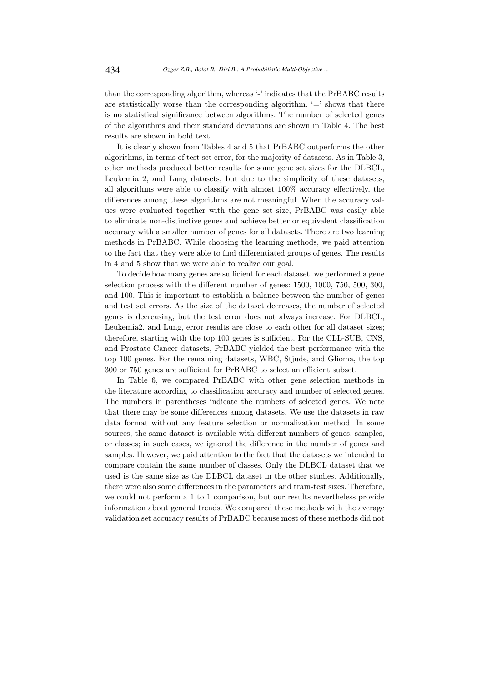than the corresponding algorithm, whereas '-' indicates that the PrBABC results are statistically worse than the corresponding algorithm.  $\equiv$  shows that there is no statistical significance between algorithms. The number of selected genes of the algorithms and their standard deviations are shown in Table 4. The best results are shown in bold text.

It is clearly shown from Tables 4 and 5 that PrBABC outperforms the other algorithms, in terms of test set error, for the majority of datasets. As in Table 3, other methods produced better results for some gene set sizes for the DLBCL, Leukemia 2, and Lung datasets, but due to the simplicity of these datasets, all algorithms were able to classify with almost 100% accuracy effectively, the differences among these algorithms are not meaningful. When the accuracy values were evaluated together with the gene set size, PrBABC was easily able to eliminate non-distinctive genes and achieve better or equivalent classification accuracy with a smaller number of genes for all datasets. There are two learning methods in PrBABC. While choosing the learning methods, we paid attention to the fact that they were able to find differentiated groups of genes. The results in 4 and 5 show that we were able to realize our goal.

To decide how many genes are sufficient for each dataset, we performed a gene selection process with the different number of genes: 1500, 1000, 750, 500, 300, and 100. This is important to establish a balance between the number of genes and test set errors. As the size of the dataset decreases, the number of selected genes is decreasing, but the test error does not always increase. For DLBCL, Leukemia2, and Lung, error results are close to each other for all dataset sizes; therefore, starting with the top 100 genes is sufficient. For the CLL-SUB, CNS, and Prostate Cancer datasets, PrBABC yielded the best performance with the top 100 genes. For the remaining datasets, WBC, Stjude, and Glioma, the top 300 or 750 genes are sufficient for PrBABC to select an efficient subset.

In Table 6, we compared PrBABC with other gene selection methods in the literature according to classification accuracy and number of selected genes. The numbers in parentheses indicate the numbers of selected genes. We note that there may be some differences among datasets. We use the datasets in raw data format without any feature selection or normalization method. In some sources, the same dataset is available with different numbers of genes, samples, or classes; in such cases, we ignored the difference in the number of genes and samples. However, we paid attention to the fact that the datasets we intended to compare contain the same number of classes. Only the DLBCL dataset that we used is the same size as the DLBCL dataset in the other studies. Additionally, there were also some differences in the parameters and train-test sizes. Therefore, we could not perform a 1 to 1 comparison, but our results nevertheless provide information about general trends. We compared these methods with the average validation set accuracy results of PrBABC because most of these methods did not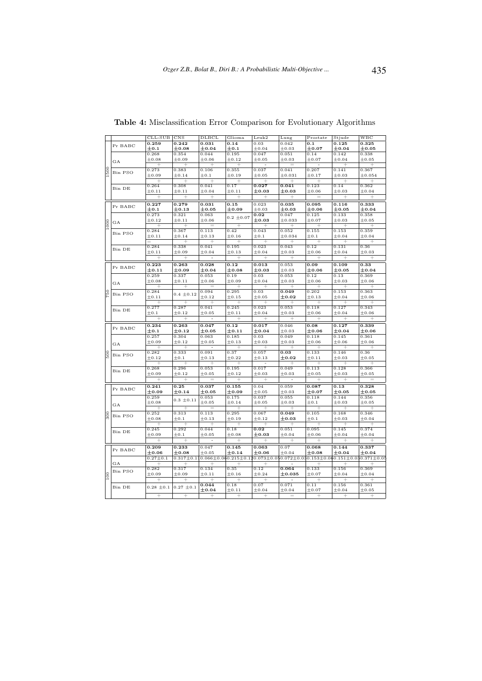|                    |         | $CLL$ -SUB                    | CNS             | DLBCL                                                                                                                   | Glioma          | Leuk2                  | Lung                | Prostate            | Stjude                                    | WBC                                      |
|--------------------|---------|-------------------------------|-----------------|-------------------------------------------------------------------------------------------------------------------------|-----------------|------------------------|---------------------|---------------------|-------------------------------------------|------------------------------------------|
|                    | Pr BABC | 0.259                         | 0.242           | 0.031                                                                                                                   | 0.14            | 0.03                   | 0.042               | 0.1                 | 0.125                                     | 0.325                                    |
|                    |         | $\pm$ 0.1                     | $\pm 0.08$      | ±0.04                                                                                                                   | $\pm$ 0.1       | $\pm 0.04$             | $\pm 0.03$          | $\pm 0.07$          | ±0.04                                     | $\pm$ 0.05                               |
|                    |         | 0.268                         | 0.354           | 0.044                                                                                                                   | 0.195           | 0.047                  | 0.051               | 0.14                | 0.142                                     | 0.338                                    |
|                    | GA      | $\pm 0.08$                    | $\pm 0.09$      | ±0.06                                                                                                                   | $\pm 0.12$      | $\pm 0.05$             | $\pm 0.03$          | ± 0.07              | ±0.04                                     | $\pm 0.05$                               |
|                    |         | $^{+}$                        | $^{+}$          | $^{+}$                                                                                                                  | $^{+}$          | $\overline{a}$         | $=$                 | ÷.                  | $^{+}$                                    | $^{+}$                                   |
| $\frac{8}{2}$      | Bin PSO | 0.273                         | 0.383           | 0.106                                                                                                                   | 0.355           | 0.037                  | 0.041               | 0.207               | 0.141                                     | 0.367                                    |
|                    |         | ±0.09                         | ± 0.14          | $+0.1$                                                                                                                  | $\pm 0.19$      | $\pm 0.05$             | ±0.031              | $+0.17$             | ±0.03                                     | ±0.054                                   |
|                    |         | Ŧ                             |                 | Ŧ                                                                                                                       |                 | $\overline{+}$         | $\overline{+}$      |                     |                                           |                                          |
|                    |         | 0.264                         | 0.308           | 0.041                                                                                                                   | 0.17            | 0.027                  | 0.041               | 0.123               | 0.14                                      | 0.362                                    |
|                    | Bin DE  | ± 0.11                        | ± 0.11          | ±0.04                                                                                                                   | $_{\pm 0.11}$   | $_{\pm \text{0.03}}$   | $\pm 0.03$          | ±0.06               | $_{\pm 0.03}$                             | ±0.04                                    |
|                    |         |                               | $^{+}$          | $\! + \!\!\!\!$                                                                                                         | $\! + \!\!\!\!$ |                        | $^{+}$              | $=$                 |                                           | $\! + \!\!\!\!$                          |
|                    |         | 0.227                         | 0.279           | 0.031                                                                                                                   | 0.15            | 0.023                  | 0.035               | 0.095               | 0.116                                     | 0.333                                    |
|                    | Pr BABC | $_{\pm 0.1}$                  | $\pm$ 0.13      | $\pm$ 0.05                                                                                                              | $\pm 0.09$      | $_{\pm 0.03}$          | $\pm$ 0.03          | $_{\pm 0.06}$       | $\pm$ 0.05                                | $\pm$ 0.04                               |
|                    |         | 0.273                         | 0.321           | 0.063                                                                                                                   |                 | 0.02                   | 0.047               | 0.125               | 0.133                                     | 0.358                                    |
|                    |         | ±0.12                         | ± 0.11          | ±0.06                                                                                                                   | $0.2 \pm 0.07$  | $_{\pm \text{0.03}}$   | $_{\pm 0.033}$      | ±0.07               | $\pm 0.03$                                | ±0.05                                    |
|                    | GA      |                               |                 |                                                                                                                         |                 |                        |                     |                     |                                           |                                          |
|                    |         | $^{+}$<br>0.284               | $^{+}$<br>0.367 | $=$<br>0.113                                                                                                            | $^{+}$<br>0.42  | $^{+}$<br>0.043        | $^{+}$<br>0.052     | $^{+}$<br>0.155     | $^{+}$<br>0.153                           | $^{+}$<br>0.359                          |
|                    | Bin PSO |                               |                 |                                                                                                                         |                 |                        |                     |                     |                                           |                                          |
|                    |         | ± 0.11                        | ± 0.14          | ±0.13                                                                                                                   | $\pm 0.16$      | $\pm 0.1$              | ±0.034              | $\pm$ 0.1           | ±0.04                                     | ±0.04                                    |
|                    |         | 0.284                         | 0.338           | $^+$<br>0.041                                                                                                           | 0.195           | $^{+}$<br>0.023        | 0.043               | 0.12                | $\hspace{0.1mm} +\hspace{0.1mm}$<br>0.131 | $\hspace{0.1mm} +\hspace{0.1mm}$<br>0.36 |
|                    | Bin DE  | ± 0.11                        | ±0.09           | ±0.04                                                                                                                   | $\pm 0.13$      | ±0.04                  | $\pm 0.03$          | ±0.06               | ±0.04                                     | $_{\pm 0.03}$                            |
|                    |         |                               |                 |                                                                                                                         |                 |                        |                     |                     |                                           |                                          |
|                    |         | $^{+}$                        | $^{+}$          |                                                                                                                         | $^{+}$          | $^{+}$                 | $^{+}$              |                     | $^{+}$                                    |                                          |
|                    | Pr BABC | 0.223                         | 0.263           | 0.028                                                                                                                   | 0.12            | 0.013                  | 0.053               | 0.09                | 0.109                                     | 0.33                                     |
|                    |         | $_{\pm 0.11}$                 | $\pm 0.09$      | $_{\pm \text{0.04}}$                                                                                                    | $\pm 0.08$      | $_{\pm \text{0.03}}$   | $\pm 0.03$          | $\pm$ 0.06          | $\pm 0.05$                                | $_{\pm \text{0.04}}$                     |
|                    |         | 0.259                         | 0.337           | 0.053                                                                                                                   | 0.19            | 0.03                   | 0.053               | 0.12                | 0.13                                      | 0.369                                    |
|                    | GA      | ±0.08                         | $\pm 0.11$      | ±0.06                                                                                                                   | $\pm 0.09$      | ±0.04                  | $\pm 0.03$          | ±0.06               | $\pm 0.03$                                | ±0.06                                    |
|                    |         | $^{+}$                        | $^{+}$          | $=$                                                                                                                     | $^{+}$          | $^{+}$                 | $^{+}$              | $^{+}$              | $^{+}$                                    | $^{+}$                                   |
| °                  | Bin PSO | 0.284                         | $0.4 \pm 0.12$  | 0.094                                                                                                                   | 0.295           | 0.03                   | 0.049               | 0.202               | 0.153                                     | 0.363                                    |
|                    |         | ± 0.11                        |                 | ±0.12                                                                                                                   | $\pm 0.15$      | $_{\pm 0.05}$          | $\pm 0.02$          | ±0.13               | ±0.04                                     | $_{\pm 0.06}$                            |
|                    |         | $\overline{+}$                | $\overline{+}$  | $^{+}$                                                                                                                  | $^{+}$          | $^{+}$                 | $^{+}$              | $^{+}$              | $^{+}$                                    | $^{+}$                                   |
|                    | Bin DE  | 0.277                         | 0.287           | 0.041                                                                                                                   | 0.245           | 0.023                  | 0.053               | 0.118               | 0.127                                     | 0.343                                    |
|                    |         | $\pm 0.1$                     | ± 0.12          | $\pm 0.05$                                                                                                              | ± 0.11          | ±0.04                  | $\pm 0.03$          | ±0.06               | ±0.04                                     | $_{\pm 0.06}$                            |
|                    |         |                               |                 |                                                                                                                         |                 |                        |                     |                     |                                           |                                          |
|                    |         | $^{+}$                        |                 |                                                                                                                         |                 | $^{+}$                 |                     |                     | $^{+}$                                    | $^{+}$                                   |
|                    |         | 0.234                         | 0.263           | 0.047                                                                                                                   | 0.12            | 0.017                  | 0.046               | 0.08                | 0.127                                     | 0.339                                    |
|                    | Pr BABC | $_{\pm 0.1}$                  | $_{\pm 0.12}$   | $_{\pm \text{0.05}}$                                                                                                    | $\pm$ 0.11      | $\pm$ 0.04             | $\pm 0.03$          | $\pm 0.06$          | $\pm$ 0.04                                | $_{\pm \text{0.06}}$                     |
|                    |         | 0.257                         | 0.304           | 0.063                                                                                                                   | 0.185           | 0.03                   | 0.049               | 0.118               | 0.145                                     | 0.361                                    |
|                    |         | ±0.09                         | ± 0.12          | ±0.05                                                                                                                   | $\pm 0.13$      | ±0.03                  | $\pm 0.03$          | ±0.06               | ±0.06                                     | ±0.06                                    |
|                    | GA      | $\overline{+}$                |                 |                                                                                                                         |                 | $^{+}$                 | $^{+}$              | $^{+}$              | $^{+}$                                    |                                          |
|                    |         | 0.282                         | 0.333           | 0.091                                                                                                                   | 0.37            | 0.057                  | 0.03                | 0.133               | 0.146                                     | 0.36                                     |
| $\frac{8}{2}$      | Bin PSO | ±0.12                         | $\pm 0.1$       | ±0.13                                                                                                                   | $\pm$ 0.22      | $_{\pm 0.13}$          | $\pm 0.02$          | ±0.11               | $\pm 0.03$                                | $\pm 0.05$                               |
|                    |         |                               |                 |                                                                                                                         |                 |                        |                     |                     |                                           |                                          |
|                    |         | 0.268                         | 0.296           | 0.053                                                                                                                   | 0.195           | 0.017                  | 0.049               | 0.113               | 0.128                                     | 0.366                                    |
|                    | Bin DE  | $\pm 0.09$                    | $\pm 0.12$      | $\pm 0.05$                                                                                                              | $\pm 0.12$      | $_{\pm 0.03}$          | $\pm 0.03$          | $\pm 0.05$          | $\pm 0.03$                                | $_{\pm 0.05}$                            |
|                    |         | Ŧ                             | $^{+}$          | $=$                                                                                                                     | $^{+}$          | $^{+}$                 |                     | $^{+}$              | $^{+}$                                    |                                          |
|                    |         | 0.241                         | 0.25            | 0.037                                                                                                                   | 0.155           | 0.04                   | 0.059               |                     | 0.13                                      | 0.328                                    |
|                    | Pr BABC |                               |                 |                                                                                                                         | $\pm 0.09$      | $\pm 0.05$             | $\pm 0.03$          | 0.087               |                                           | $_{\pm \text{0.05}}$                     |
|                    |         | $_{\pm \text{0.09}}$<br>0.259 | $\pm$ 0.14      | $\pm 0.05$<br>0.053                                                                                                     | 0.175           | 0.037                  | 0.055               | $\pm 0.07$<br>0.118 | $\pm$ 0.05<br>0.144                       | 0.356                                    |
|                    |         | ±0.08                         | $0.3 \pm 0.11$  | ±0.05                                                                                                                   | ± 0.14          | $\pm 0.05$             | $\pm 0.03$          | $\pm 0.1$           | $\pm 0.03$                                | $_{\pm 0.05}$                            |
|                    | GA      |                               | $^{+}$          | $\equiv$                                                                                                                |                 | $^{+}$                 | $^{+}$              |                     |                                           |                                          |
|                    |         |                               | 0.313           |                                                                                                                         | 0.295           |                        |                     | 0.105               | 0.168                                     | $^{+}$<br>0.346                          |
|                    | Bin PSO | 0.252<br>$_{\pm 0.08}$        | $\pm 0.1$       | 0.113<br>±0.13                                                                                                          | ±0.19           | 0.067<br>$_{\pm 0.12}$ | 0.049<br>$\pm 0.03$ | $\pm 0.1$           | $\pm 0.03$                                | $_{\pm 0.04}$                            |
|                    |         | $^{+}$                        | $^+$            | $^{+}$                                                                                                                  | $^{+}$          | $^{+}$                 | $\! + \!\!\!\!$     |                     |                                           | $^{+}$                                   |
|                    |         | 0.245                         | 0.292           | 0.044                                                                                                                   | 0.18            | 0.02                   | 0.051               | 0.095               | 0.145                                     | 0.374                                    |
|                    | Bin DE  | $\pm 0.09$                    | $\pm 0.1$       | $\pm 0.05$                                                                                                              | $\pm 0.08$      | $_{\pm \text{0.03}}$   | ±0.04               | $\pm 0.06$          | ±0.04                                     | $_{\pm 0.04}$                            |
|                    |         |                               |                 |                                                                                                                         |                 |                        |                     |                     |                                           |                                          |
|                    |         |                               |                 |                                                                                                                         |                 |                        |                     |                     |                                           |                                          |
|                    | Pr BABC | 0.209                         | 0.233           | 0.047                                                                                                                   | 0.145           | 0.063                  | 0.07                | 0.068               | 0.144                                     | 0.337                                    |
|                    |         | $\pm$ 0.06                    | $\pm 0.08$      | ±0.05                                                                                                                   | $\pm$ 0.14      | $\pm$ 0.06             | ±0.04               | $\pm 0.08$          | $_{\pm \text{0.04}}$                      | $_{\pm \text{0.04}}$                     |
|                    | GА      | $0.27 \pm 0.1$                |                 | $0.317 \pm 0.110.066 \pm 0.060.215 \pm 0.120.073 \pm 0.050.072 \pm 0.030.153 \pm 0.060.151 \pm 0.030.371 \pm 0.050.072$ |                 |                        |                     |                     |                                           |                                          |
|                    |         | $^+$                          |                 |                                                                                                                         |                 |                        |                     |                     |                                           |                                          |
|                    | Bin PSO | 0.282                         | 0.317           | 0.134                                                                                                                   | 0.35            | 0.12                   | 0.064               | 0.133               | 0.156                                     | 0.369                                    |
| $_{\odot}^{\circ}$ |         | $\pm 0.09$                    | $\pm 0.09$      | $_{\pm 0.11}$                                                                                                           | $\pm 0.16$      | $_{\pm 0.24}$          | ±0.035              | ±0.07               | $_{\pm 0.04}$                             | $_{\pm 0.04}$                            |
|                    |         | $^+$                          | ÷               | 0.044                                                                                                                   | 0.18            | 0.07                   | 0.071               | 0.11                |                                           | 0.361                                    |
|                    | Bin DE  | $0.28 \pm 0.1$                | $0.27 \pm 0.1$  | $\pm$ 0.04                                                                                                              | ± 0.11          | $_{\pm 0.04}$          | ±0.04               | ± 0.07              | 0.156<br>$_{\pm 0.04}$                    | $\pm 0.05$                               |

Table 4: Misclassification Error Comparison for Evolutionary Algorithms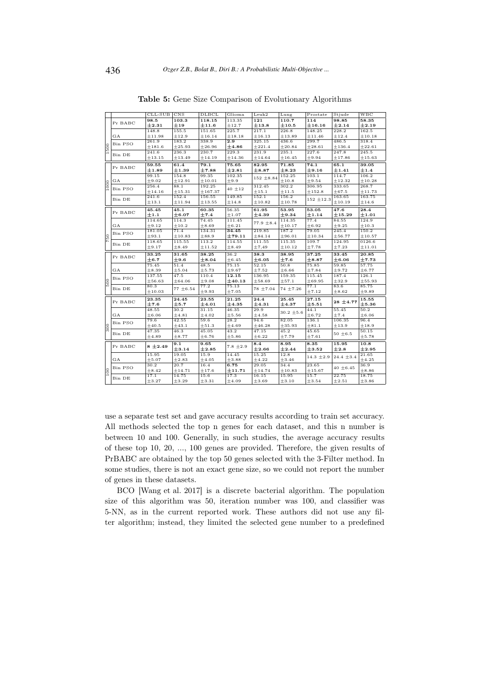|               |                  | $CLL$ -SUB     | <b>CNS</b>      | DLBCL           | Glioma             | Leuk2               | Lung            | Prostate               | Stjude         | WBC                   |
|---------------|------------------|----------------|-----------------|-----------------|--------------------|---------------------|-----------------|------------------------|----------------|-----------------------|
|               |                  | 98.5           | 103.3           | 118.15          | 113.35             | 121                 | 110.7           | 114                    | 98.85          | 58.35                 |
|               | Pr BABC          | $_{\pm 2.31}$  | $\pm$ 19        | ±11.6           | ±12.7              | $\pm$ 13.8          | $\pm$ 10.5      | $\pm 16.16$            | $\pm 2.14$     | $\pm 2.19$            |
|               |                  | 148.8          | 155.5           | 151.65          | 225.7              | 217.1               | 226.8           | 148.25                 | 228.2          | 162.5                 |
|               | $_{\mathrm{GA}}$ | ±11.98         | ±12.9           | ±16.14          | ±18.18             | ±16.13              | ±13.89          | ±11.46                 | ±12.4          | ±10.18                |
|               |                  | 261.9          | 183.2           | 338.9           | 2.9                | 325.15              | 436.6           | 299.7                  | 486.5          | 318.4                 |
| 500           | Bin PSO          | ±181.6         | ±25.93          | ±26.96          | $\pm 4.86$         | ±221.4              | ±20.84          | ±28.61                 | ±136.4         | ±22.61                |
|               | Bin DE           | 241.6          | 236.3           | 230.7           | 229.3              | 231.9               | 235.1           | 227.6                  | 247.8          | 245.5                 |
|               |                  | ±13.15         | ±13.49          | ±14.19          | ±14.36             | ±14.64              | ±16.45          | ±9.94                  | ±17.86         | ±15.63                |
|               |                  | 59.55          | 61.4            | 79.1            | 75.65              | 82.95               | 71.85           | 74.1                   | 65.1           | 39.05                 |
|               | Pr BABC          | $\pm 1.89$     | $\pm 1.39$      | ±7.88           | $\pm 2.81$         | $\pm 8.87$          | $\pm 8.23$      | $\pm$ 9.16             | $\pm 1.41$     | $\pm 1.4$             |
|               |                  | 99.15          | 154.8           | 99.35           | 102.35             |                     | 152.25          | 103.1                  | 114.7          | 106.2                 |
|               | GA               | $\pm 9.02$     | ±12.91          | ±10.01          | ±9.9               | $152\; \pm 8.84$    | $\pm 10.8$      | ±9.54                  | ±12.32         | ±10.28                |
| 1000          |                  | 256.4          | 88.1            | 192.25          |                    | 312.45              | 302.2           | 306.95                 | 333.65         | 268.7                 |
|               | Bin PSO          | $\pm 14.16$    | ±15.31          | ±167.37         | $40 \pm 12$        | ±15.1               | ±11.5           | ±152.8                 | $\pm 67.5$     | ±11.73                |
|               |                  | 241.6          | 152.4           | 156.55          | 149.85             | 152.1               | 156.2           |                        | 163.65         | 163.75                |
|               | Bin DE           | $\pm 13.1$     | ±11.94          | ±13.55          | ±14.8              | ±10.82              | ±10.78          | $152 + 12.3$           | ±10.19         | $\pm 14.6$            |
|               |                  | 45.45          | 45.1            | 60.35           | 56.35              | 61.95               | 53.95           | 53.05                  | 47.6           | 28.4                  |
|               | Pr BABC          | $\pm 1.1$      | $\pm$ 6.07      | $\pm 7.4$       | ±1.07              | $\pm 4.39$          | $\pm$ 9.34      | ±1.14                  | ±15.29         | $\pm 1.01$            |
|               |                  | 114.65         | 114.3           | 74.45           | 111.45             |                     | 114.35          | 77.4                   | 84.55          | 124.9                 |
|               | GA               | ±9.12          | ±10.2           | $\pm 8.69$      | ± 6.21             | $77.9 \pm 8.4$      | ±10.17          | $\pm 6.92$             | $\pm 9.25$     | $\pm 10.3$            |
|               |                  | 181.05         | 71.4            | 134.31          | 34.45              | 219.85              | 187.2           | 79.05                  | 245.4          | 150.2                 |
|               | Bin PSO          | ±93.1          | ±10.83          | ±88.9           | ±79.11             | $\pm 84.14$         | ±96.01          | ±10.34                 | ±56.77         | ±10.57                |
|               | Bin DE           | 118.65         | 115.55          | 113.2           | 114.55             | 111.55              | 115.35          | 109.7                  | 124.95         | 0126.6                |
|               |                  | ±9.17          | ±8.49           | ±11.52          | ± 8.49             | $_{\pm 7,49}$       |                 |                        | ±7.23          | $_{\pm 11.01}$        |
|               |                  |                |                 |                 |                    |                     | ±10.12          | $_{\pm 7.78}$          |                |                       |
|               |                  |                |                 |                 |                    |                     |                 |                        |                |                       |
|               | Pr BABC          | 33.25          | 31.65           | 38.25           | 36.2               | 38.3                | 38.95           | 37.25                  | 33.45          | 20.85                 |
|               |                  | $\pm$ 6.7      | $\pm$ 9.6       | $\pm 8.04$      | ± 6.45             | $\pm 6.05$          | ±7.6            | $\pm$ 8.87             | $\pm 6.06$     | $\pm 7.73$            |
|               |                  | 75.45          | 51.4            | 48.5            | 75.15              | 52.15               | 50.8            | 75.85                  | 59.85          | 57.75                 |
|               | $_{\rm GA}$      | $\pm 8.39$     | $\pm 5.04$      | ± 5.73          | ±9.67              | ±7.52               | $\pm 6.66$      | ±7.84                  | ±9.72          | ± 6.77                |
|               | Bin PSO          | 137.55         | 47.5            | 110.4           | 12.15              | 136.95              | 159.35          | 115.45                 | 187.4          | 126.1                 |
| $\frac{6}{2}$ |                  | ±56.63         | ± 64.06         | ±9.08           | $\pm$ 40.13        | ±58.69              | ±57.1           | ± 69.95                | ±32.9          | $\pm 55.93$           |
|               | Bin DE           | 80.3           | $77 \pm 6.54$   | 77.2            | 75.13              | $78 + 7.04$         | 74 ±7.26        | 77.1                   | 83.6           | 85.75                 |
|               |                  | ±10.03         |                 | ±9.93           | ±7.05              |                     |                 | ±7.12                  | $\pm 8.62$     | $\pm$ 9.89            |
|               | Pr BABC          | 23.35          | 24.45           | 23.55           | 21.25              | 24.4                | 25.45           | 27.15                  | $28 + 4.77$    | 15.55                 |
|               |                  | $_{\pm 7.6}$   | ±5.7            | $\pm 4.01$      | $\pm 4.35$         | $\pm 4.31$          | $\pm 4.37$      | $\pm$ 5.51             |                | $\pm$ 5.36            |
|               |                  | 48.55          | 30.2            | 31.15           | 46.35              | 29.9                | $30.2 \pm 5.6$  | 44.1                   | 55.45          | 50.2                  |
|               | $_{\rm GA}$      | $\pm 6.06$     | $\pm 4.81$      | ±4.02           | ± 5.56             | ±4.58               |                 | ± 6.72                 | $\pm7.4$       | $\pm 6.06$            |
|               | Bin PSO          | 79.6           | 42.55           | 59.6            | 28.2               | 94.6                | 82.05           | 136.1                  | 106.35         | 96.4                  |
|               |                  | ±40.5          | ±43.1           | ±51.3           | ±4.69              | ±46.28              | ±35.93          | ±81.1                  | ±13.9          | ±18.9                 |
|               | Bin DE           | 47.35<br>±4.89 | 46.3<br>±8.77   | 45.05<br>± 6.76 | 43.2<br>$\pm 5.86$ | 47.15<br>$\pm 6.22$ | 45.2<br>±7.79   | 45.65<br>$_{\pm 7.61}$ | $50 \pm 6.5$   | 50.15<br>± 5.78       |
|               |                  |                |                 |                 |                    |                     |                 |                        |                |                       |
|               | Pr BABC          | $8 \pm 2.49$   | 9.1             | 9.65            | $7.8 \pm 2.9$      | 8.4                 | 8.95            | 8.35                   | 15.95          | 10.8                  |
|               |                  |                | ±3.14           | $\pm 2.85$      |                    | $\pm 2.66$          | $\pm 2.44$      | $\pm$ 3.52             | $\pm 2.8$      | $\pm 2.95$            |
|               |                  | 15.95          | 19.05           | 15.9            | 14.45              | 15.25               | 12.8            | $14.3 \pm 2.9$         | $24.4 \pm 3.4$ | 21.65                 |
|               | GA               | $\pm 5.07$     | $\pm 2.83$      | ±4.05           | ±3.88              | $\pm 4.22$          | ±3.46<br>34.4   |                        |                | $\pm 4.25$            |
|               | Bin PSO          | 30.2           | 20.7            | 16.4<br>±17.6   | 6.75               | 29.05               |                 | 23.65<br>±15.67        | $40 \pm 6.45$  | 36.9<br>$_{\pm 8.86}$ |
| 100           |                  | ±8.42<br>17.1  | ±14.71<br>14.75 | 15.6            | ±11.71<br>17.3     | ±14.74<br>16.15     | ±10.83<br>15.95 | 15.7                   | 22.75          | 18.75                 |
|               | Bin DE           | ±3.27          | ±3.29           | ±3.31           | ±4.09              | $\pm 3.69$          | ±3.10           | $\pm 3.54$             | $\pm 2.51$     | $\pm 3.86$            |

Table 5: Gene Size Comparison of Evolutionary Algorithms

use a separate test set and gave accuracy results according to train set accuracy. All methods selected the top n genes for each dataset, and this n number is between 10 and 100. Generally, in such studies, the average accuracy results of these top 10, 20, ..., 100 genes are provided. Therefore, the given results of PrBABC are obtained by the top 50 genes selected with the 3-Filter method. In some studies, there is not an exact gene size, so we could not report the number of genes in these datasets.

BCO [Wang et al. 2017] is a discrete bacterial algorithm. The population size of this algorithm was 50, iteration number was 100, and classifier was 5-NN, as in the current reported work. These authors did not use any filter algorithm; instead, they limited the selected gene number to a predefined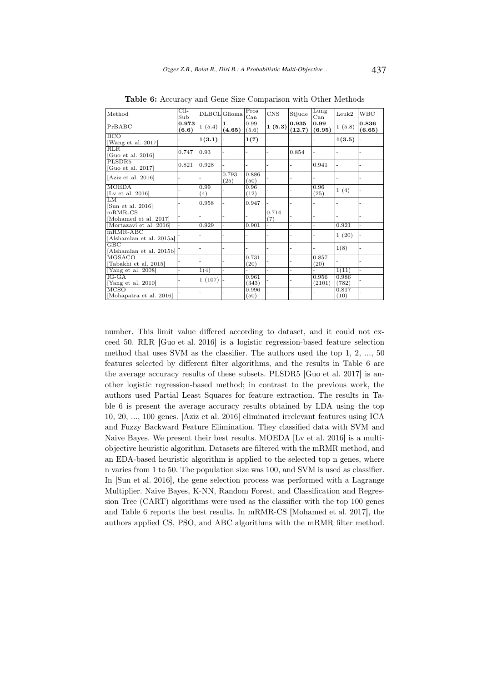| Method                                   | $\overline{\text{Cll-}}$<br>Sub |             | DLBCL Glioma  | Pros<br>Can    | CNS          | Stjude          | Lung<br>$_{\rm Can}$ | Leuk2                    | <b>WBC</b>      |
|------------------------------------------|---------------------------------|-------------|---------------|----------------|--------------|-----------------|----------------------|--------------------------|-----------------|
| PrBABC                                   | 0.973<br>(6.6)                  | 1(5.4)      | 1.<br>(4.65)  | 0.99<br>(5.6)  | 1(5.3)       | 0.935<br>(12.7) | 0.99<br>(6.95)       | 1(5.8)                   | 0.836<br>(6.65) |
| <b>BCO</b><br>[Wang et al. 2017]         |                                 | 1(3.1)      |               | 1(7)           |              |                 |                      | 1(3.5)                   |                 |
| RLR<br>[Guo et al. $2016$ ]              | 0.747                           | 0.93        |               |                |              | 0.854           |                      |                          |                 |
| PLSDR5<br>[Guo et al. 2017]              | 0.821                           | 0.928       |               |                |              |                 | 0.941                | $\overline{\phantom{0}}$ |                 |
| [Aziz et al. $2016$ ]                    |                                 |             | 0.793<br>(25) | 0.886<br>(50)  |              |                 |                      |                          |                 |
| <b>MOEDA</b><br>[Lv et al. $2016$ ]      |                                 | 0.99<br>(4) |               | 0.96<br>(12)   |              |                 | 0.96<br>(25)         | 1(4)                     |                 |
| LM<br>[Sun et al. 2016]                  |                                 | 0.958       |               | 0.947          |              |                 |                      |                          |                 |
| $mRMR-CS$<br>[Mohamed et al. 2017]       |                                 |             |               |                | 0.714<br>(7) |                 |                      |                          |                 |
| [Mortazavi et al. 2016]                  |                                 | 0.929       |               | 0.901          |              |                 |                      | 0.921                    |                 |
| $mRMR-ABC$<br>[Alshamlan et al. 2015a]   |                                 |             |               |                |              |                 |                      | 1(20)                    |                 |
| $_{\rm GBC}$<br>[Alshamlan et al. 2015b] |                                 |             |               |                |              |                 |                      | 1(8)                     |                 |
| <b>MGSACO</b><br>[Tabakhi et al. 2015]   |                                 |             |               | 0.731<br>(20)  |              |                 | 0.857<br>(20)        |                          |                 |
| [Yang et al. 2008]                       |                                 | 1(4)        |               |                |              |                 |                      | 1(11)                    |                 |
| $IG-GA$<br>[Yang et al. 2010]            |                                 | 1(107)      |               | 0.961<br>(343) |              |                 | 0.956<br>(2101)      | 0.986<br>(782)           |                 |
| <b>MCSO</b><br>[Mohapatra et al. 2016]   |                                 |             |               | 0.996<br>(50)  |              |                 |                      | 0.817<br>(10)            |                 |

Table 6: Accuracy and Gene Size Comparison with Other Methods

number. This limit value differed according to dataset, and it could not exceed 50. RLR [Guo et al. 2016] is a logistic regression-based feature selection method that uses SVM as the classifier. The authors used the top 1, 2, ..., 50 features selected by different filter algorithms, and the results in Table 6 are the average accuracy results of these subsets. PLSDR5 [Guo et al. 2017] is another logistic regression-based method; in contrast to the previous work, the authors used Partial Least Squares for feature extraction. The results in Table 6 is present the average accuracy results obtained by LDA using the top 10, 20, ..., 100 genes. [Aziz et al. 2016] eliminated irrelevant features using ICA and Fuzzy Backward Feature Elimination. They classified data with SVM and Naive Bayes. We present their best results. MOEDA [Lv et al. 2016] is a multiobjective heuristic algorithm. Datasets are filtered with the mRMR method, and an EDA-based heuristic algorithm is applied to the selected top n genes, where n varies from 1 to 50. The population size was 100, and SVM is used as classifier. In [Sun et al. 2016], the gene selection process was performed with a Lagrange Multiplier. Naive Bayes, K-NN, Random Forest, and Classification and Regression Tree (CART) algorithms were used as the classifier with the top 100 genes and Table 6 reports the best results. In mRMR-CS [Mohamed et al. 2017], the authors applied CS, PSO, and ABC algorithms with the mRMR filter method.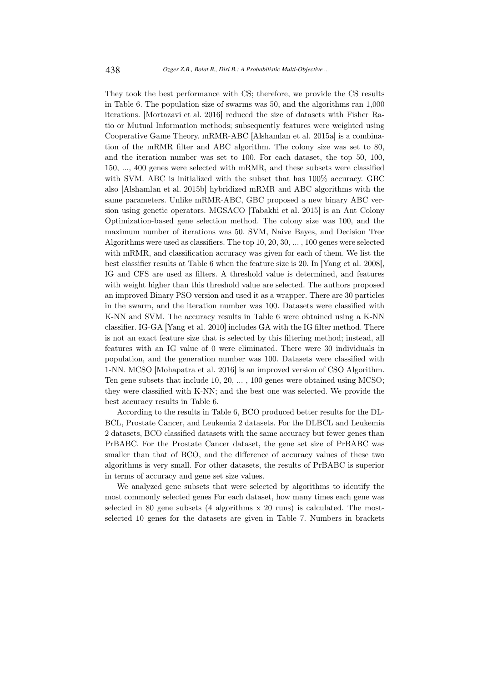They took the best performance with CS; therefore, we provide the CS results in Table 6. The population size of swarms was 50, and the algorithms ran 1,000 iterations. [Mortazavi et al. 2016] reduced the size of datasets with Fisher Ratio or Mutual Information methods; subsequently features were weighted using Cooperative Game Theory. mRMR-ABC [Alshamlan et al. 2015a] is a combination of the mRMR filter and ABC algorithm. The colony size was set to 80, and the iteration number was set to 100. For each dataset, the top 50, 100, 150, ..., 400 genes were selected with mRMR, and these subsets were classified with SVM. ABC is initialized with the subset that has 100% accuracy. GBC also [Alshamlan et al. 2015b] hybridized mRMR and ABC algorithms with the same parameters. Unlike mRMR-ABC, GBC proposed a new binary ABC version using genetic operators. MGSACO [Tabakhi et al. 2015] is an Ant Colony Optimization-based gene selection method. The colony size was 100, and the maximum number of iterations was 50. SVM, Naive Bayes, and Decision Tree Algorithms were used as classifiers. The top 10, 20, 30, ... , 100 genes were selected with mRMR, and classification accuracy was given for each of them. We list the best classifier results at Table 6 when the feature size is 20. In [Yang et al. 2008], IG and CFS are used as filters. A threshold value is determined, and features with weight higher than this threshold value are selected. The authors proposed an improved Binary PSO version and used it as a wrapper. There are 30 particles in the swarm, and the iteration number was 100. Datasets were classified with K-NN and SVM. The accuracy results in Table 6 were obtained using a K-NN classifier. IG-GA [Yang et al. 2010] includes GA with the IG filter method. There is not an exact feature size that is selected by this filtering method; instead, all features with an IG value of 0 were eliminated. There were 30 individuals in population, and the generation number was 100. Datasets were classified with 1-NN. MCSO [Mohapatra et al. 2016] is an improved version of CSO Algorithm. Ten gene subsets that include 10, 20, ... , 100 genes were obtained using MCSO; they were classified with K-NN; and the best one was selected. We provide the best accuracy results in Table 6.

According to the results in Table 6, BCO produced better results for the DL-BCL, Prostate Cancer, and Leukemia 2 datasets. For the DLBCL and Leukemia 2 datasets, BCO classified datasets with the same accuracy but fewer genes than PrBABC. For the Prostate Cancer dataset, the gene set size of PrBABC was smaller than that of BCO, and the difference of accuracy values of these two algorithms is very small. For other datasets, the results of PrBABC is superior in terms of accuracy and gene set size values.

We analyzed gene subsets that were selected by algorithms to identify the most commonly selected genes For each dataset, how many times each gene was selected in 80 gene subsets (4 algorithms x 20 runs) is calculated. The mostselected 10 genes for the datasets are given in Table 7. Numbers in brackets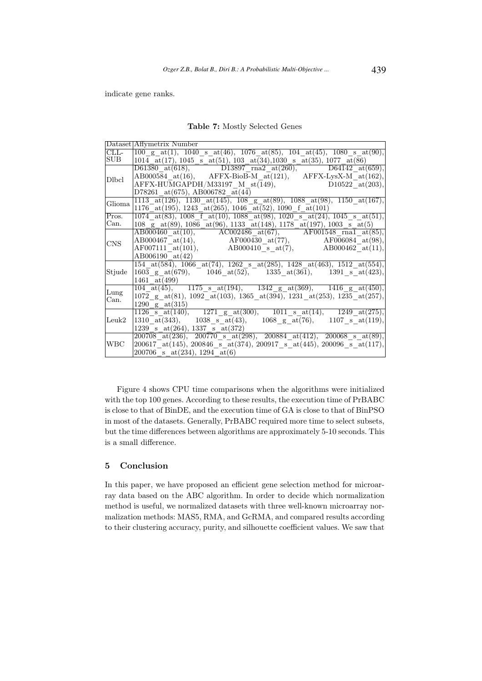indicate gene ranks.

Table 7: Mostly Selected Genes

|                                | Dataset Affymetrix Number                                                                                                                                                                                                                                                                                                                                                                                             |
|--------------------------------|-----------------------------------------------------------------------------------------------------------------------------------------------------------------------------------------------------------------------------------------------------------------------------------------------------------------------------------------------------------------------------------------------------------------------|
| $\overline{\text{CLL}}$        | $\boxed{100 \text{ g } \text{at}(1), 1040 \text{ s } \text{at}(46), 1076 \text{at}(85), 104 \text{at}(45), 1080 \text{ s } \text{at}(90),}$                                                                                                                                                                                                                                                                           |
| SUB                            | $1014$ <sub>-at</sub> (17), $1045$ <sub>-s</sub> <sub>-at</sub> (51), $103$ <sub>-at</sub> (34), $1030$ <sub>-s</sub> <sub>-at</sub> (35), $1077$ <sub>-at</sub> (86)                                                                                                                                                                                                                                                 |
|                                | $\overline{D61380}$ at (618), $\overline{D13897}$ rna2 at (260), $\overline{D64142}$ at (659),                                                                                                                                                                                                                                                                                                                        |
| Dlbcl                          | $AB000584$ at (16), AFFX-BioB-M_at (121), AFFX-LysX-M_at (162),                                                                                                                                                                                                                                                                                                                                                       |
|                                | $\text{AFFX-HUMGAPDH/M33197}_\text{M33197} \text{M}_{\text{st}}(149), \qquad \text{D10522}_{\text{at}}(203),$                                                                                                                                                                                                                                                                                                         |
|                                | D78261 at $(675)$ , AB006782 at $(44)$                                                                                                                                                                                                                                                                                                                                                                                |
| Glioma                         | $1113$ <sub>1</sub> at(126), 1130 <sub>1</sub> at(145), 108 <sub>1</sub> g <sub>1</sub> at(89), 1088 <sub>1</sub> at(98), 1150 <sub>1</sub> at(167),                                                                                                                                                                                                                                                                  |
|                                | $1176$ at (195), 1243 at (265), 1046 at (52), 1090 f at (101)                                                                                                                                                                                                                                                                                                                                                         |
| Pros.                          | $1074$ at (83), 1008 f at (10), 1088 at (98), 1020 s at (24), 1045 s at (51),                                                                                                                                                                                                                                                                                                                                         |
| Can.                           | $108\_\text{gat}(89)$ , $1086\_\text{at}(96)$ , $1133\_\text{at}(148)$ , $1178\_\text{at}(197)$ , $1003\_\text{sat}(5)$                                                                                                                                                                                                                                                                                               |
|                                | $\overline{AB000460}$ at(10), $\overline{AC002486}$ at(67), $\overline{AF001548}$ rnal $\overline{at(85)}$ ,                                                                                                                                                                                                                                                                                                          |
| <b>CNS</b>                     | $\label{eq:AB000467} \begin{array}{lll} \text{AB000467}_{\hspace{1.5mm}\phantom{\begin{array}{l} \hbox{}}\hbox{}}\text{at}(14), \end{array}} \begin{array}{lll} \text{AF000430}_{\hspace{1.5mm}\phantom{\begin{array}{l} \hbox{}}\hbox{}}\text{at}(77), \end{array}} \begin{array}{lll} \text{AF006084}_{\hspace{1.5mm}\phantom{\begin{array}{l} \hbox{}}\hbox{}}\text{at}(98), \end{array}} \end{array} \end{array}$ |
|                                |                                                                                                                                                                                                                                                                                                                                                                                                                       |
|                                | AB006190 at(42)                                                                                                                                                                                                                                                                                                                                                                                                       |
|                                | $154 \text{ at}(58\overline{4}), 1066 \text{ at}(74), 1262 \text{ s at}(285), 1428 \text{ at}(463), 1512 \text{ at}(554),$                                                                                                                                                                                                                                                                                            |
| Stjude                         | 1603 g at(679), 1046 at(52), 1335 at(361), 1391 s at(423),                                                                                                                                                                                                                                                                                                                                                            |
|                                | 1461 $at(499)$                                                                                                                                                                                                                                                                                                                                                                                                        |
|                                | $\overline{104 \text{ at}(45)}, \overline{1175 \text{ s at}(194)}, \overline{1342 \text{ g at}(369)}, \overline{1416 \text{ g at}(450)},$                                                                                                                                                                                                                                                                             |
| Lung<br>Can.                   | 1072 g at(81), 1092 at(103), 1365 at(394), 1231 at(253), 1235 at(257),                                                                                                                                                                                                                                                                                                                                                |
|                                | 1290 g $at(315)$                                                                                                                                                                                                                                                                                                                                                                                                      |
|                                | $\frac{1280}{1126} = \frac{80000}{1126}$ at $(140)$ , 1271 g at $(300)$ , 1011 s at $(14)$ , 1249 at $(275)$ ,                                                                                                                                                                                                                                                                                                        |
| $\mathop{\rm Leuk}\nolimits 2$ | $1310 \text{ at} (343),$ 1038 s at (43), 1068 g at (76), 1107 s at (119),                                                                                                                                                                                                                                                                                                                                             |
|                                | $1239$ s at $(264)$ , 1337 s at $(372)$                                                                                                                                                                                                                                                                                                                                                                               |
|                                | $\frac{200708 \text{ at}(236)}{200700 \text{ s}}$ $\frac{1}{200884 \text{ at}(412)}$ , $\frac{200068 \text{ s}}{200068 \text{ s}}$                                                                                                                                                                                                                                                                                    |
| <b>WBC</b>                     | 200617 at (145), 200846 s at (374), 200917 s at (445), 200096 s at (117),                                                                                                                                                                                                                                                                                                                                             |
|                                | 200706 s at $(234)$ , 1294 at $(6)$                                                                                                                                                                                                                                                                                                                                                                                   |

Figure 4 shows CPU time comparisons when the algorithms were initialized with the top 100 genes. According to these results, the execution time of PrBABC is close to that of BinDE, and the execution time of GA is close to that of BinPSO in most of the datasets. Generally, PrBABC required more time to select subsets, but the time differences between algorithms are approximately 5-10 seconds. This is a small difference.

# 5 Conclusion

In this paper, we have proposed an efficient gene selection method for microarray data based on the ABC algorithm. In order to decide which normalization method is useful, we normalized datasets with three well-known microarray normalization methods: MAS5, RMA, and GcRMA, and compared results according to their clustering accuracy, purity, and silhouette coefficient values. We saw that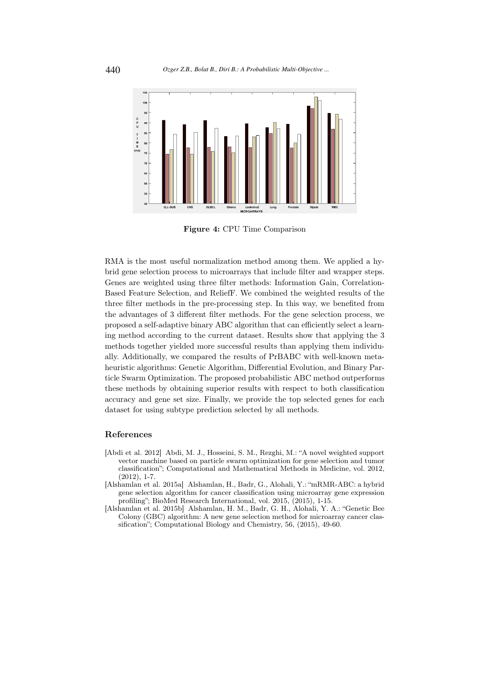

Figure 4: CPU Time Comparison

RMA is the most useful normalization method among them. We applied a hybrid gene selection process to microarrays that include filter and wrapper steps. Genes are weighted using three filter methods: Information Gain, Correlation-Based Feature Selection, and ReliefF. We combined the weighted results of the three filter methods in the pre-processing step. In this way, we benefited from the advantages of 3 different filter methods. For the gene selection process, we proposed a self-adaptive binary ABC algorithm that can efficiently select a learning method according to the current dataset. Results show that applying the 3 methods together yielded more successful results than applying them individually. Additionally, we compared the results of PrBABC with well-known metaheuristic algorithms: Genetic Algorithm, Differential Evolution, and Binary Particle Swarm Optimization. The proposed probabilistic ABC method outperforms these methods by obtaining superior results with respect to both classification accuracy and gene set size. Finally, we provide the top selected genes for each dataset for using subtype prediction selected by all methods.

#### References

- [Abdi et al. 2012] Abdi, M. J., Hosseini, S. M., Rezghi, M.: "A novel weighted support vector machine based on particle swarm optimization for gene selection and tumor classification"; Computational and Mathematical Methods in Medicine, vol. 2012, (2012), 1-7.
- [Alshamlan et al. 2015a] Alshamlan, H., Badr, G., Alohali, Y.: "mRMR-ABC: a hybrid gene selection algorithm for cancer classification using microarray gene expression profiling"; BioMed Research International, vol. 2015, (2015), 1-15.
- [Alshamlan et al. 2015b] Alshamlan, H. M., Badr, G. H., Alohali, Y. A.: "Genetic Bee Colony (GBC) algorithm: A new gene selection method for microarray cancer classification"; Computational Biology and Chemistry, 56, (2015), 49-60.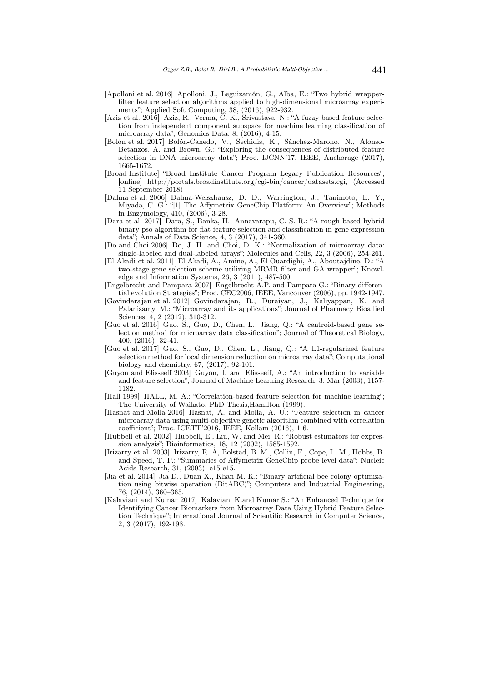- [Apolloni et al. 2016] Apolloni, J., Leguizamón, G., Alba, E.: "Two hybrid wrapperfilter feature selection algorithms applied to high-dimensional microarray experiments"; Applied Soft Computing, 38, (2016), 922-932.
- [Aziz et al. 2016] Aziz, R., Verma, C. K., Srivastava, N.: "A fuzzy based feature selection from independent component subspace for machine learning classification of microarray data"; Genomics Data, 8, (2016), 4-15.
- [Bolón et al. 2017] Bolón-Canedo, V., Sechidis, K., Sánchez-Marono, N., Alonso-Betanzos, A. and Brown, G.: "Exploring the consequences of distributed feature selection in DNA microarray data"; Proc. IJCNN'17, IEEE, Anchorage (2017), 1665-1672.
- [Broad Institute] "Broad Institute Cancer Program Legacy Publication Resources"; [online] http://portals.broadinstitute.org/cgi-bin/cancer/datasets.cgi, (Accessed 11 September 2018)
- [Dalma et al. 2006] Dalma-Weiszhausz, D. D., Warrington, J., Tanimoto, E. Y., Miyada, C. G.: "[1] The Affymetrix GeneChip Platform: An Overview"; Methods in Enzymology, 410, (2006), 3-28.
- [Dara et al. 2017] Dara, S., Banka, H., Annavarapu, C. S. R.: "A rough based hybrid binary pso algorithm for flat feature selection and classification in gene expression data"; Annals of Data Science, 4, 3 (2017), 341-360.
- [Do and Choi 2006] Do, J. H. and Choi, D. K.: "Normalization of microarray data: single-labeled and dual-labeled arrays"; Molecules and Cells, 22, 3 (2006), 254-261.
- [El Akadi et al. 2011] El Akadi, A., Amine, A., El Ouardighi, A., Aboutajdine, D.: "A two-stage gene selection scheme utilizing MRMR filter and GA wrapper"; Knowledge and Information Systems, 26, 3 (2011), 487-500.
- [Engelbrecht and Pampara 2007] Engelbrecht A.P. and Pampara G.: "Binary differential evolution Strategies"; Proc. CEC2006, IEEE, Vancouver (2006), pp. 1942-1947.
- [Govindarajan et al. 2012] Govindarajan, R., Duraiyan, J., Kaliyappan, K. and Palanisamy, M.: "Microarray and its applications"; Journal of Pharmacy Bioallied Sciences, 4, 2 (2012), 310-312.
- [Guo et al. 2016] Guo, S., Guo, D., Chen, L., Jiang, Q.: "A centroid-based gene selection method for microarray data classification"; Journal of Theoretical Biology, 400, (2016), 32-41.
- [Guo et al. 2017] Guo, S., Guo, D., Chen, L., Jiang, Q.: "A L1-regularized feature selection method for local dimension reduction on microarray data"; Computational biology and chemistry, 67, (2017), 92-101.
- [Guyon and Elisseeff 2003] Guyon, I. and Elisseeff, A.: "An introduction to variable and feature selection"; Journal of Machine Learning Research, 3, Mar (2003), 1157- 1182.
- [Hall 1999] HALL, M. A.: "Correlation-based feature selection for machine learning"; The University of Waikato, PhD Thesis,Hamilton (1999).
- [Hasnat and Molla 2016] Hasnat, A. and Molla, A. U.: "Feature selection in cancer microarray data using multi-objective genetic algorithm combined with correlation coefficient"; Proc. ICETT'2016, IEEE, Kollam (2016), 1-6.
- [Hubbell et al. 2002] Hubbell, E., Liu, W. and Mei, R.: "Robust estimators for expression analysis"; Bioinformatics, 18, 12 (2002), 1585-1592.
- [Irizarry et al. 2003] Irizarry, R. A, Bolstad, B. M., Collin, F., Cope, L. M., Hobbs, B. and Speed, T. P.: "Summaries of Affymetrix GeneChip probe level data"; Nucleic Acids Research, 31, (2003), e15-e15.
- [Jia et al. 2014] Jia D., Duan X., Khan M. K.: "Binary artificial bee colony optimization using bitwise operation (BitABC)"; Computers and Industrial Engineering, 76, (2014), 360–365.
- [Kalaviani and Kumar 2017] Kalaviani K.and Kumar S.: "An Enhanced Technique for Identifying Cancer Biomarkers from Microarray Data Using Hybrid Feature Selection Technique"; International Journal of Scientific Research in Computer Science, 2, 3 (2017), 192-198.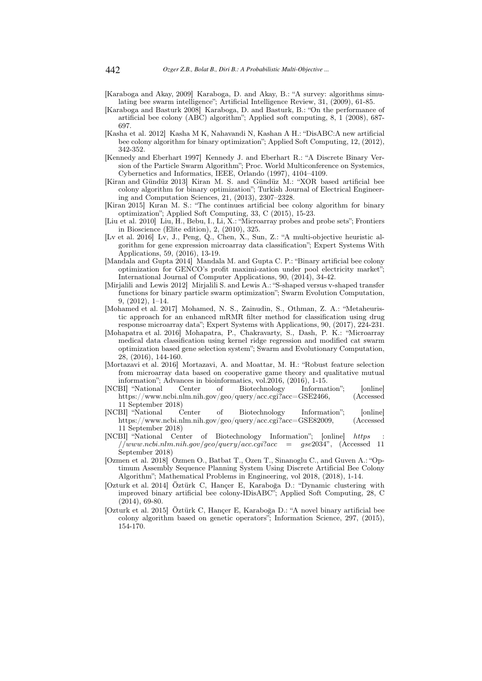[Karaboga and Akay, 2009] Karaboga, D. and Akay, B.: "A survey: algorithms simulating bee swarm intelligence"; Artificial Intelligence Review, 31, (2009), 61-85.

- [Karaboga and Basturk 2008] Karaboga, D. and Basturk, B.: "On the performance of artificial bee colony (ABC) algorithm"; Applied soft computing, 8, 1 (2008), 687- 697.
- [Kasha et al. 2012] Kasha M K, Nahavandi N, Kashan A H.: "DisABC:A new artificial bee colony algorithm for binary optimization"; Applied Soft Computing, 12, (2012), 342-352.
- [Kennedy and Eberhart 1997] Kennedy J. and Eberhart R.: "A Discrete Binary Version of the Particle Swarm Algorithm"; Proc. World Multiconference on Systemics, Cybernetics and Informatics, IEEE, Orlando (1997), 4104–4109.
- [Kiran and Gündüz 2013] Kiran M. S. and Gündüz M.: "XOR based artificial bee colony algorithm for binary optimization"; Turkish Journal of Electrical Engineering and Computation Sciences, 21, (2013), 2307–2328.
- [Kiran 2015] Kıran M. S.: "The continues artificial bee colony algorithm for binary optimization"; Applied Soft Computing, 33, C (2015), 15-23.
- [Liu et al. 2010] Liu, H., Bebu, I., Li, X.: "Microarray probes and probe sets"; Frontiers in Bioscience (Elite edition), 2, (2010), 325.
- [Lv et al. 2016] Lv, J., Peng, Q., Chen, X., Sun, Z.: "A multi-objective heuristic algorithm for gene expression microarray data classification"; Expert Systems With Applications, 59, (2016), 13-19.
- [Mandala and Gupta 2014] Mandala M. and Gupta C. P.: "Binary artificial bee colony optimization for GENCO's profit maximi-zation under pool electricity market"; International Journal of Computer Applications, 90, (2014), 34-42.
- [Mirjalili and Lewis 2012] Mirjalili S. and Lewis A.: "S-shaped versus v-shaped transfer functions for binary particle swarm optimization"; Swarm Evolution Computation, 9, (2012), 1–14.
- [Mohamed et al. 2017] Mohamed, N. S., Zainudin, S., Othman, Z. A.: "Metaheuristic approach for an enhanced mRMR filter method for classification using drug response microarray data"; Expert Systems with Applications, 90, (2017), 224-231.
- [Mohapatra et al. 2016] Mohapatra, P., Chakravarty, S., Dash, P. K.: "Microarray medical data classification using kernel ridge regression and modified cat swarm optimization based gene selection system"; Swarm and Evolutionary Computation, 28, (2016), 144-160.
- [Mortazavi et al. 2016] Mortazavi, A. and Moattar, M. H.: "Robust feature selection from microarray data based on cooperative game theory and qualitative mutual information"; Advances in bioinformatics, vol.2016, (2016), 1-15.<br>
"BII "National Center of Biotechnology Informa
- [NCBI] "National Center of Biotechnology Information"; [online] https://www.ncbi.nlm.nih.gov/geo/query/acc.cgi?acc=GSE2466, (Accessed 11 September 2018)
- [NCBI] "National Center of Biotechnology Information"; [online] https://www.ncbi.nlm.nih.gov/geo/query/acc.cgi?acc=GSE82009, (Accessed 11 September 2018)
- [NCBI] "National Center of Biotechnology Information"; [online] https  $1/www.ncbi.nlm.nih.gov/geo/query/acc.cgi?acc = gse2034", (Accessed 11)$ September 2018)
- [Ozmen et al. 2018] Ozmen O., Batbat T., Ozen T., Sinanoglu C., and Guven A.: "Optimum Assembly Sequence Planning System Using Discrete Artificial Bee Colony Algorithm"; Mathematical Problems in Engineering, vol 2018, (2018), 1-14.
- [Ozturk et al. 2014] Öztürk C, Hançer E, Karaboğa D.: "Dynamic clustering with improved binary artificial bee colony-IDisABC"; Applied Soft Computing, 28, C  $(2014)$ , 69-80.
- [Ozturk et al. 2015] Öztürk C, Hançer E, Karaboğa D.: "A novel binary artificial bee colony algorithm based on genetic operators"; Information Science, 297, (2015), 154-170.